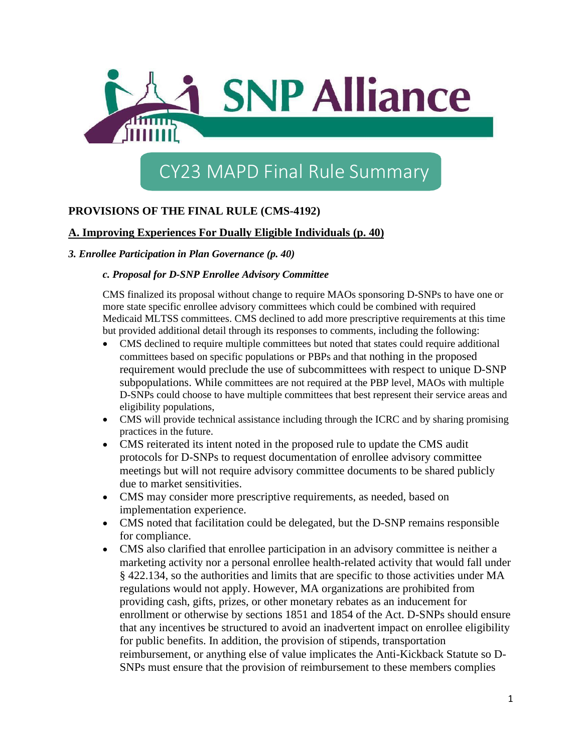

# CY23 MAPD Final Rule Summary

# **PROVISIONS OF THE FINAL RULE (CMS-4192)**

## **A. Improving Experiences For Dually Eligible Individuals (p. 40)**

## *3. Enrollee Participation in Plan Governance (p. 40)*

#### *c. Proposal for D-SNP Enrollee Advisory Committee*

CMS finalized its proposal without change to require MAOs sponsoring D-SNPs to have one or more state specific enrollee advisory committees which could be combined with required Medicaid MLTSS committees. CMS declined to add more prescriptive requirements at this time but provided additional detail through its responses to comments, including the following:

- CMS declined to require multiple committees but noted that states could require additional committees based on specific populations or PBPs and that nothing in the proposed requirement would preclude the use of subcommittees with respect to unique D-SNP subpopulations. While committees are not required at the PBP level, MAOs with multiple D-SNPs could choose to have multiple committees that best represent their service areas and eligibility populations,
- CMS will provide technical assistance including through the ICRC and by sharing promising practices in the future.
- CMS reiterated its intent noted in the proposed rule to update the CMS audit protocols for D-SNPs to request documentation of enrollee advisory committee meetings but will not require advisory committee documents to be shared publicly due to market sensitivities.
- CMS may consider more prescriptive requirements, as needed, based on implementation experience.
- CMS noted that facilitation could be delegated, but the D-SNP remains responsible for compliance.
- CMS also clarified that enrollee participation in an advisory committee is neither a marketing activity nor a personal enrollee health-related activity that would fall under § 422.134, so the authorities and limits that are specific to those activities under MA regulations would not apply. However, MA organizations are prohibited from providing cash, gifts, prizes, or other monetary rebates as an inducement for enrollment or otherwise by sections 1851 and 1854 of the Act. D-SNPs should ensure that any incentives be structured to avoid an inadvertent impact on enrollee eligibility for public benefits. In addition, the provision of stipends, transportation reimbursement, or anything else of value implicates the Anti-Kickback Statute so D-SNPs must ensure that the provision of reimbursement to these members complies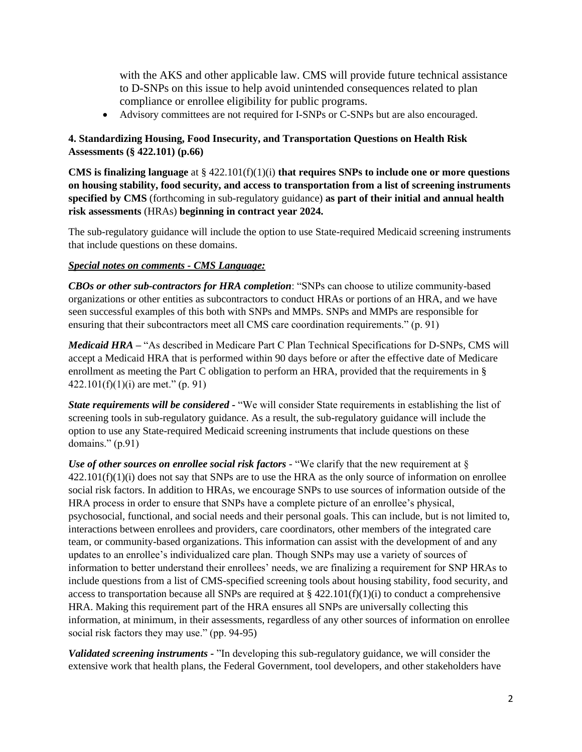with the AKS and other applicable law. CMS will provide future technical assistance to D-SNPs on this issue to help avoid unintended consequences related to plan compliance or enrollee eligibility for public programs.

• Advisory committees are not required for I-SNPs or C-SNPs but are also encouraged.

## **4. Standardizing Housing, Food Insecurity, and Transportation Questions on Health Risk Assessments (§ 422.101) (p.66)**

**CMS is finalizing language** at § 422.101(f)(1)(i) **that requires SNPs to include one or more questions on housing stability, food security, and access to transportation from a list of screening instruments specified by CMS** (forthcoming in sub-regulatory guidance) **as part of their initial and annual health risk assessments** (HRAs) **beginning in contract year 2024.** 

The sub-regulatory guidance will include the option to use State-required Medicaid screening instruments that include questions on these domains.

## *Special notes on comments - CMS Language:*

*CBOs or other sub-contractors for HRA completion*: "SNPs can choose to utilize community-based organizations or other entities as subcontractors to conduct HRAs or portions of an HRA, and we have seen successful examples of this both with SNPs and MMPs. SNPs and MMPs are responsible for ensuring that their subcontractors meet all CMS care coordination requirements." (p. 91)

*Medicaid HRA –* "As described in Medicare Part C Plan Technical Specifications for D-SNPs, CMS will accept a Medicaid HRA that is performed within 90 days before or after the effective date of Medicare enrollment as meeting the Part C obligation to perform an HRA, provided that the requirements in §  $422.101(f)(1)(i)$  are met." (p. 91)

*State requirements will be considered -* "We will consider State requirements in establishing the list of screening tools in sub-regulatory guidance. As a result, the sub-regulatory guidance will include the option to use any State-required Medicaid screening instruments that include questions on these domains." (p.91)

*Use of other sources on enrollee social risk factors -* "We clarify that the new requirement at §  $422.101(f)(1)(i)$  does not say that SNPs are to use the HRA as the only source of information on enrollee social risk factors. In addition to HRAs, we encourage SNPs to use sources of information outside of the HRA process in order to ensure that SNPs have a complete picture of an enrollee's physical, psychosocial, functional, and social needs and their personal goals. This can include, but is not limited to, interactions between enrollees and providers, care coordinators, other members of the integrated care team, or community-based organizations. This information can assist with the development of and any updates to an enrollee's individualized care plan. Though SNPs may use a variety of sources of information to better understand their enrollees' needs, we are finalizing a requirement for SNP HRAs to include questions from a list of CMS-specified screening tools about housing stability, food security, and access to transportation because all SNPs are required at  $\S 422.101(f)(1)(i)$  to conduct a comprehensive HRA. Making this requirement part of the HRA ensures all SNPs are universally collecting this information, at minimum, in their assessments, regardless of any other sources of information on enrollee social risk factors they may use." (pp. 94-95)

*Validated screening instruments -* "In developing this sub-regulatory guidance, we will consider the extensive work that health plans, the Federal Government, tool developers, and other stakeholders have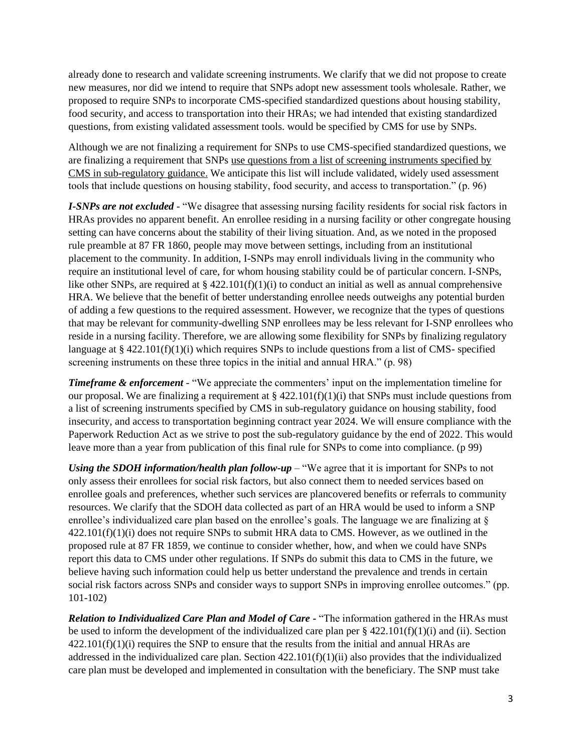already done to research and validate screening instruments. We clarify that we did not propose to create new measures, nor did we intend to require that SNPs adopt new assessment tools wholesale. Rather, we proposed to require SNPs to incorporate CMS-specified standardized questions about housing stability, food security, and access to transportation into their HRAs; we had intended that existing standardized questions, from existing validated assessment tools. would be specified by CMS for use by SNPs.

Although we are not finalizing a requirement for SNPs to use CMS-specified standardized questions, we are finalizing a requirement that SNPs use questions from a list of screening instruments specified by CMS in sub-regulatory guidance. We anticipate this list will include validated, widely used assessment tools that include questions on housing stability, food security, and access to transportation." (p. 96)

*I-SNPs are not excluded* - "We disagree that assessing nursing facility residents for social risk factors in HRAs provides no apparent benefit. An enrollee residing in a nursing facility or other congregate housing setting can have concerns about the stability of their living situation. And, as we noted in the proposed rule preamble at 87 FR 1860, people may move between settings, including from an institutional placement to the community. In addition, I-SNPs may enroll individuals living in the community who require an institutional level of care, for whom housing stability could be of particular concern. I-SNPs, like other SNPs, are required at § 422.101(f)(1)(i) to conduct an initial as well as annual comprehensive HRA. We believe that the benefit of better understanding enrollee needs outweighs any potential burden of adding a few questions to the required assessment. However, we recognize that the types of questions that may be relevant for community-dwelling SNP enrollees may be less relevant for I-SNP enrollees who reside in a nursing facility. Therefore, we are allowing some flexibility for SNPs by finalizing regulatory language at § 422.101(f)(1)(i) which requires SNPs to include questions from a list of CMS- specified screening instruments on these three topics in the initial and annual HRA." (p. 98)

*Timeframe & enforcement* - "We appreciate the commenters' input on the implementation timeline for our proposal. We are finalizing a requirement at  $\S 422.101(f)(1)(i)$  that SNPs must include questions from a list of screening instruments specified by CMS in sub-regulatory guidance on housing stability, food insecurity, and access to transportation beginning contract year 2024. We will ensure compliance with the Paperwork Reduction Act as we strive to post the sub-regulatory guidance by the end of 2022. This would leave more than a year from publication of this final rule for SNPs to come into compliance. (p 99)

*Using the SDOH information/health plan follow-up* – "We agree that it is important for SNPs to not only assess their enrollees for social risk factors, but also connect them to needed services based on enrollee goals and preferences, whether such services are plancovered benefits or referrals to community resources. We clarify that the SDOH data collected as part of an HRA would be used to inform a SNP enrollee's individualized care plan based on the enrollee's goals. The language we are finalizing at § 422.101(f)(1)(i) does not require SNPs to submit HRA data to CMS. However, as we outlined in the proposed rule at 87 FR 1859, we continue to consider whether, how, and when we could have SNPs report this data to CMS under other regulations. If SNPs do submit this data to CMS in the future, we believe having such information could help us better understand the prevalence and trends in certain social risk factors across SNPs and consider ways to support SNPs in improving enrollee outcomes." (pp. 101-102)

*Relation to Individualized Care Plan and Model of Care -* "The information gathered in the HRAs must be used to inform the development of the individualized care plan per  $\S 422.101(f)(1)(i)$  and (ii). Section  $422.101(f)(1)(i)$  requires the SNP to ensure that the results from the initial and annual HRAs are addressed in the individualized care plan. Section 422.101(f)(1)(ii) also provides that the individualized care plan must be developed and implemented in consultation with the beneficiary. The SNP must take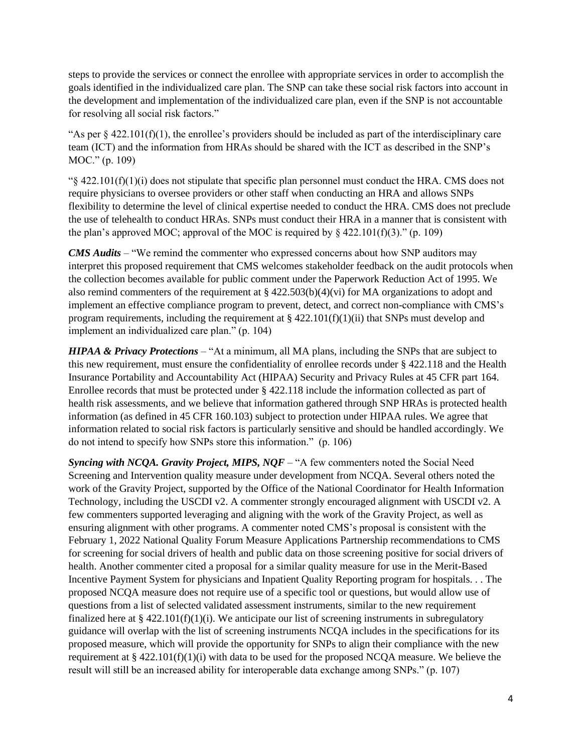steps to provide the services or connect the enrollee with appropriate services in order to accomplish the goals identified in the individualized care plan. The SNP can take these social risk factors into account in the development and implementation of the individualized care plan, even if the SNP is not accountable for resolving all social risk factors."

"As per  $\S$  422.101(f)(1), the enrollee's providers should be included as part of the interdisciplinary care team (ICT) and the information from HRAs should be shared with the ICT as described in the SNP's MOC." (p. 109)

 $\frac{1}{8}$  422.101(f)(1)(i) does not stipulate that specific plan personnel must conduct the HRA. CMS does not require physicians to oversee providers or other staff when conducting an HRA and allows SNPs flexibility to determine the level of clinical expertise needed to conduct the HRA. CMS does not preclude the use of telehealth to conduct HRAs. SNPs must conduct their HRA in a manner that is consistent with the plan's approved MOC; approval of the MOC is required by  $\frac{22.101(f)(3)}{f}$  (p. 109)

*CMS Audits* – "We remind the commenter who expressed concerns about how SNP auditors may interpret this proposed requirement that CMS welcomes stakeholder feedback on the audit protocols when the collection becomes available for public comment under the Paperwork Reduction Act of 1995. We also remind commenters of the requirement at  $\S$  422.503(b)(4)(vi) for MA organizations to adopt and implement an effective compliance program to prevent, detect, and correct non-compliance with CMS's program requirements, including the requirement at  $\S 422.101(f)(1)(ii)$  that SNPs must develop and implement an individualized care plan." (p. 104)

*HIPAA & Privacy Protections* – "At a minimum, all MA plans, including the SNPs that are subject to this new requirement, must ensure the confidentiality of enrollee records under § 422.118 and the Health Insurance Portability and Accountability Act (HIPAA) Security and Privacy Rules at 45 CFR part 164. Enrollee records that must be protected under § 422.118 include the information collected as part of health risk assessments, and we believe that information gathered through SNP HRAs is protected health information (as defined in 45 CFR 160.103) subject to protection under HIPAA rules. We agree that information related to social risk factors is particularly sensitive and should be handled accordingly. We do not intend to specify how SNPs store this information." (p. 106)

*Syncing with NCQA. Gravity Project, MIPS, NQF* – "A few commenters noted the Social Need Screening and Intervention quality measure under development from NCQA. Several others noted the work of the Gravity Project, supported by the Office of the National Coordinator for Health Information Technology, including the USCDI v2. A commenter strongly encouraged alignment with USCDI v2. A few commenters supported leveraging and aligning with the work of the Gravity Project, as well as ensuring alignment with other programs. A commenter noted CMS's proposal is consistent with the February 1, 2022 National Quality Forum Measure Applications Partnership recommendations to CMS for screening for social drivers of health and public data on those screening positive for social drivers of health. Another commenter cited a proposal for a similar quality measure for use in the Merit-Based Incentive Payment System for physicians and Inpatient Quality Reporting program for hospitals. . . The proposed NCQA measure does not require use of a specific tool or questions, but would allow use of questions from a list of selected validated assessment instruments, similar to the new requirement finalized here at § 422.101(f)(1)(i). We anticipate our list of screening instruments in subregulatory guidance will overlap with the list of screening instruments NCQA includes in the specifications for its proposed measure, which will provide the opportunity for SNPs to align their compliance with the new requirement at  $\S 422.101(f)(1)(i)$  with data to be used for the proposed NCQA measure. We believe the result will still be an increased ability for interoperable data exchange among SNPs." (p. 107)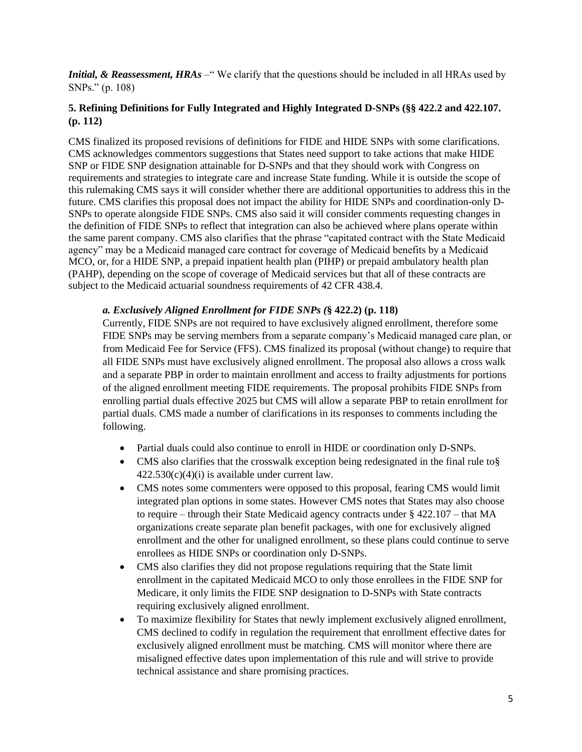*Initial, & Reassessment, HRAs* – "We clarify that the questions should be included in all HRAs used by SNPs." (p. 108)

## **5. Refining Definitions for Fully Integrated and Highly Integrated D-SNPs (§§ 422.2 and 422.107. (p. 112)**

CMS finalized its proposed revisions of definitions for FIDE and HIDE SNPs with some clarifications. CMS acknowledges commentors suggestions that States need support to take actions that make HIDE SNP or FIDE SNP designation attainable for D-SNPs and that they should work with Congress on requirements and strategies to integrate care and increase State funding. While it is outside the scope of this rulemaking CMS says it will consider whether there are additional opportunities to address this in the future. CMS clarifies this proposal does not impact the ability for HIDE SNPs and coordination-only D-SNPs to operate alongside FIDE SNPs. CMS also said it will consider comments requesting changes in the definition of FIDE SNPs to reflect that integration can also be achieved where plans operate within the same parent company. CMS also clarifies that the phrase "capitated contract with the State Medicaid agency" may be a Medicaid managed care contract for coverage of Medicaid benefits by a Medicaid MCO, or, for a HIDE SNP, a prepaid inpatient health plan (PIHP) or prepaid ambulatory health plan (PAHP), depending on the scope of coverage of Medicaid services but that all of these contracts are subject to the Medicaid actuarial soundness requirements of 42 CFR 438.4.

## *a. Exclusively Aligned Enrollment for FIDE SNPs (***§ 422.2) (p. 118)**

Currently, FIDE SNPs are not required to have exclusively aligned enrollment, therefore some FIDE SNPs may be serving members from a separate company's Medicaid managed care plan, or from Medicaid Fee for Service (FFS). CMS finalized its proposal (without change) to require that all FIDE SNPs must have exclusively aligned enrollment. The proposal also allows a cross walk and a separate PBP in order to maintain enrollment and access to frailty adjustments for portions of the aligned enrollment meeting FIDE requirements. The proposal prohibits FIDE SNPs from enrolling partial duals effective 2025 but CMS will allow a separate PBP to retain enrollment for partial duals. CMS made a number of clarifications in its responses to comments including the following.

- Partial duals could also continue to enroll in HIDE or coordination only D-SNPs.
- CMS also clarifies that the crosswalk exception being redesignated in the final rule to §  $422.530(c)(4)(i)$  is available under current law.
- CMS notes some commenters were opposed to this proposal, fearing CMS would limit integrated plan options in some states. However CMS notes that States may also choose to require – through their State Medicaid agency contracts under § 422.107 – that MA organizations create separate plan benefit packages, with one for exclusively aligned enrollment and the other for unaligned enrollment, so these plans could continue to serve enrollees as HIDE SNPs or coordination only D-SNPs.
- CMS also clarifies they did not propose regulations requiring that the State limit enrollment in the capitated Medicaid MCO to only those enrollees in the FIDE SNP for Medicare, it only limits the FIDE SNP designation to D-SNPs with State contracts requiring exclusively aligned enrollment.
- To maximize flexibility for States that newly implement exclusively aligned enrollment, CMS declined to codify in regulation the requirement that enrollment effective dates for exclusively aligned enrollment must be matching. CMS will monitor where there are misaligned effective dates upon implementation of this rule and will strive to provide technical assistance and share promising practices.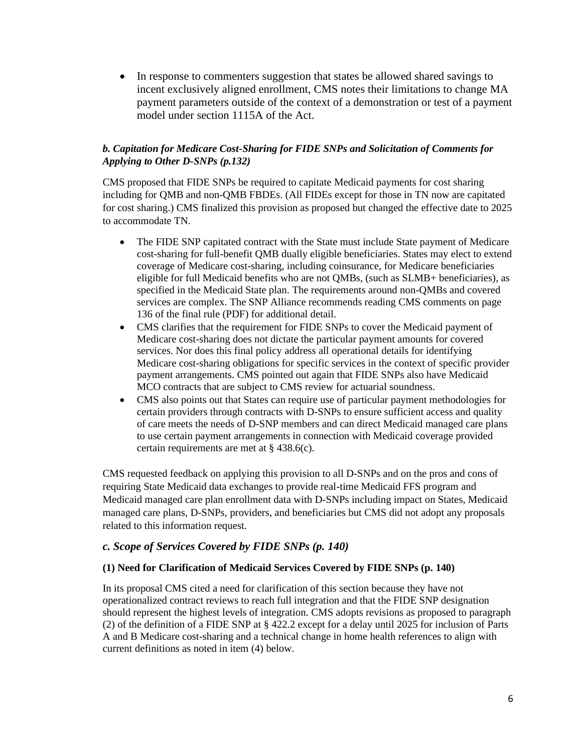• In response to commenters suggestion that states be allowed shared savings to incent exclusively aligned enrollment, CMS notes their limitations to change MA payment parameters outside of the context of a demonstration or test of a payment model under section 1115A of the Act.

## *b. Capitation for Medicare Cost-Sharing for FIDE SNPs and Solicitation of Comments for Applying to Other D-SNPs (p.132)*

CMS proposed that FIDE SNPs be required to capitate Medicaid payments for cost sharing including for QMB and non-QMB FBDEs. (All FIDEs except for those in TN now are capitated for cost sharing.) CMS finalized this provision as proposed but changed the effective date to 2025 to accommodate TN.

- The FIDE SNP capitated contract with the State must include State payment of Medicare cost-sharing for full-benefit QMB dually eligible beneficiaries. States may elect to extend coverage of Medicare cost-sharing, including coinsurance, for Medicare beneficiaries eligible for full Medicaid benefits who are not QMBs, (such as SLMB+ beneficiaries), as specified in the Medicaid State plan. The requirements around non-QMBs and covered services are complex. The SNP Alliance recommends reading CMS comments on page 136 of the final rule (PDF) for additional detail.
- CMS clarifies that the requirement for FIDE SNPs to cover the Medicaid payment of Medicare cost-sharing does not dictate the particular payment amounts for covered services. Nor does this final policy address all operational details for identifying Medicare cost-sharing obligations for specific services in the context of specific provider payment arrangements. CMS pointed out again that FIDE SNPs also have Medicaid MCO contracts that are subject to CMS review for actuarial soundness.
- CMS also points out that States can require use of particular payment methodologies for certain providers through contracts with D-SNPs to ensure sufficient access and quality of care meets the needs of D-SNP members and can direct Medicaid managed care plans to use certain payment arrangements in connection with Medicaid coverage provided certain requirements are met at § 438.6(c).

CMS requested feedback on applying this provision to all D-SNPs and on the pros and cons of requiring State Medicaid data exchanges to provide real-time Medicaid FFS program and Medicaid managed care plan enrollment data with D-SNPs including impact on States, Medicaid managed care plans, D-SNPs, providers, and beneficiaries but CMS did not adopt any proposals related to this information request.

## *c. Scope of Services Covered by FIDE SNPs (p. 140)*

#### **(1) Need for Clarification of Medicaid Services Covered by FIDE SNPs (p. 140)**

In its proposal CMS cited a need for clarification of this section because they have not operationalized contract reviews to reach full integration and that the FIDE SNP designation should represent the highest levels of integration. CMS adopts revisions as proposed to paragraph (2) of the definition of a FIDE SNP at § 422.2 except for a delay until 2025 for inclusion of Parts A and B Medicare cost-sharing and a technical change in home health references to align with current definitions as noted in item (4) below.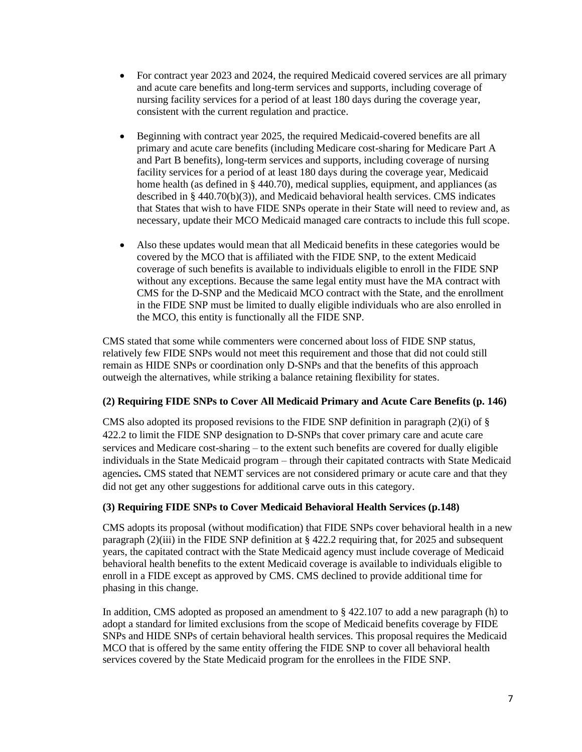- For contract year 2023 and 2024, the required Medicaid covered services are all primary and acute care benefits and long-term services and supports, including coverage of nursing facility services for a period of at least 180 days during the coverage year, consistent with the current regulation and practice.
- Beginning with contract year 2025, the required Medicaid-covered benefits are all primary and acute care benefits (including Medicare cost-sharing for Medicare Part A and Part B benefits), long-term services and supports, including coverage of nursing facility services for a period of at least 180 days during the coverage year, Medicaid home health (as defined in § 440.70), medical supplies, equipment, and appliances (as described in § 440.70(b)(3)), and Medicaid behavioral health services. CMS indicates that States that wish to have FIDE SNPs operate in their State will need to review and, as necessary, update their MCO Medicaid managed care contracts to include this full scope.
- Also these updates would mean that all Medicaid benefits in these categories would be covered by the MCO that is affiliated with the FIDE SNP, to the extent Medicaid coverage of such benefits is available to individuals eligible to enroll in the FIDE SNP without any exceptions. Because the same legal entity must have the MA contract with CMS for the D-SNP and the Medicaid MCO contract with the State, and the enrollment in the FIDE SNP must be limited to dually eligible individuals who are also enrolled in the MCO, this entity is functionally all the FIDE SNP.

CMS stated that some while commenters were concerned about loss of FIDE SNP status, relatively few FIDE SNPs would not meet this requirement and those that did not could still remain as HIDE SNPs or coordination only D-SNPs and that the benefits of this approach outweigh the alternatives, while striking a balance retaining flexibility for states.

#### **(2) Requiring FIDE SNPs to Cover All Medicaid Primary and Acute Care Benefits (p. 146)**

CMS also adopted its proposed revisions to the FIDE SNP definition in paragraph (2)(i) of  $\S$ 422.2 to limit the FIDE SNP designation to D-SNPs that cover primary care and acute care services and Medicare cost-sharing – to the extent such benefits are covered for dually eligible individuals in the State Medicaid program – through their capitated contracts with State Medicaid agencies**.** CMS stated that NEMT services are not considered primary or acute care and that they did not get any other suggestions for additional carve outs in this category.

#### **(3) Requiring FIDE SNPs to Cover Medicaid Behavioral Health Services (p.148)**

CMS adopts its proposal (without modification) that FIDE SNPs cover behavioral health in a new paragraph  $(2)(iii)$  in the FIDE SNP definition at § 422.2 requiring that, for 2025 and subsequent years, the capitated contract with the State Medicaid agency must include coverage of Medicaid behavioral health benefits to the extent Medicaid coverage is available to individuals eligible to enroll in a FIDE except as approved by CMS. CMS declined to provide additional time for phasing in this change.

In addition, CMS adopted as proposed an amendment to  $\S$  422.107 to add a new paragraph (h) to adopt a standard for limited exclusions from the scope of Medicaid benefits coverage by FIDE SNPs and HIDE SNPs of certain behavioral health services. This proposal requires the Medicaid MCO that is offered by the same entity offering the FIDE SNP to cover all behavioral health services covered by the State Medicaid program for the enrollees in the FIDE SNP.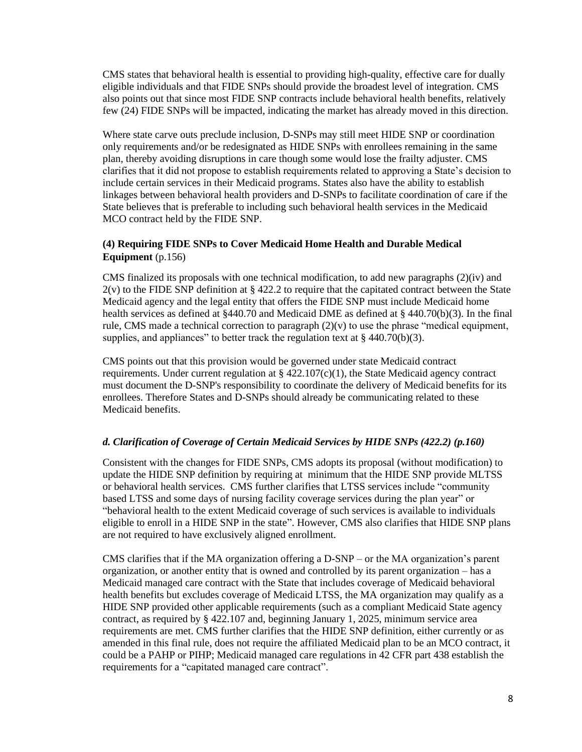CMS states that behavioral health is essential to providing high-quality, effective care for dually eligible individuals and that FIDE SNPs should provide the broadest level of integration. CMS also points out that since most FIDE SNP contracts include behavioral health benefits, relatively few (24) FIDE SNPs will be impacted, indicating the market has already moved in this direction.

Where state carve outs preclude inclusion, D-SNPs may still meet HIDE SNP or coordination only requirements and/or be redesignated as HIDE SNPs with enrollees remaining in the same plan, thereby avoiding disruptions in care though some would lose the frailty adjuster. CMS clarifies that it did not propose to establish requirements related to approving a State's decision to include certain services in their Medicaid programs. States also have the ability to establish linkages between behavioral health providers and D-SNPs to facilitate coordination of care if the State believes that is preferable to including such behavioral health services in the Medicaid MCO contract held by the FIDE SNP.

## **(4) Requiring FIDE SNPs to Cover Medicaid Home Health and Durable Medical Equipment** (p.156)

CMS finalized its proposals with one technical modification, to add new paragraphs (2)(iv) and  $2(y)$  to the FIDE SNP definition at § 422.2 to require that the capitated contract between the State Medicaid agency and the legal entity that offers the FIDE SNP must include Medicaid home health services as defined at §440.70 and Medicaid DME as defined at § 440.70(b)(3). In the final rule, CMS made a technical correction to paragraph  $(2)(v)$  to use the phrase "medical equipment, supplies, and appliances" to better track the regulation text at  $\S$  440.70(b)(3).

CMS points out that this provision would be governed under state Medicaid contract requirements. Under current regulation at  $\S 422.107(c)(1)$ , the State Medicaid agency contract must document the D-SNP's responsibility to coordinate the delivery of Medicaid benefits for its enrollees. Therefore States and D-SNPs should already be communicating related to these Medicaid benefits.

#### *d. Clarification of Coverage of Certain Medicaid Services by HIDE SNPs (422.2) (p.160)*

Consistent with the changes for FIDE SNPs, CMS adopts its proposal (without modification) to update the HIDE SNP definition by requiring at minimum that the HIDE SNP provide MLTSS or behavioral health services. CMS further clarifies that LTSS services include "community based LTSS and some days of nursing facility coverage services during the plan year" or "behavioral health to the extent Medicaid coverage of such services is available to individuals eligible to enroll in a HIDE SNP in the state". However, CMS also clarifies that HIDE SNP plans are not required to have exclusively aligned enrollment.

CMS clarifies that if the MA organization offering a D-SNP – or the MA organization's parent organization, or another entity that is owned and controlled by its parent organization – has a Medicaid managed care contract with the State that includes coverage of Medicaid behavioral health benefits but excludes coverage of Medicaid LTSS, the MA organization may qualify as a HIDE SNP provided other applicable requirements (such as a compliant Medicaid State agency contract, as required by § 422.107 and, beginning January 1, 2025, minimum service area requirements are met. CMS further clarifies that the HIDE SNP definition, either currently or as amended in this final rule, does not require the affiliated Medicaid plan to be an MCO contract, it could be a PAHP or PIHP; Medicaid managed care regulations in 42 CFR part 438 establish the requirements for a "capitated managed care contract".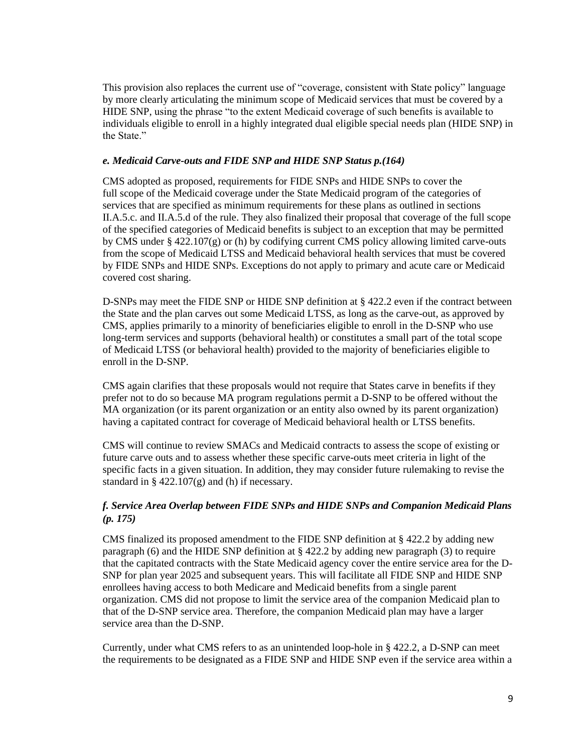This provision also replaces the current use of "coverage, consistent with State policy" language by more clearly articulating the minimum scope of Medicaid services that must be covered by a HIDE SNP, using the phrase "to the extent Medicaid coverage of such benefits is available to individuals eligible to enroll in a highly integrated dual eligible special needs plan (HIDE SNP) in the State."

#### *e. Medicaid Carve-outs and FIDE SNP and HIDE SNP Status p.(164)*

CMS adopted as proposed, requirements for FIDE SNPs and HIDE SNPs to cover the full scope of the Medicaid coverage under the State Medicaid program of the categories of services that are specified as minimum requirements for these plans as outlined in sections II.A.5.c. and II.A.5.d of the rule. They also finalized their proposal that coverage of the full scope of the specified categories of Medicaid benefits is subject to an exception that may be permitted by CMS under  $\S 422.107(g)$  or (h) by codifying current CMS policy allowing limited carve-outs from the scope of Medicaid LTSS and Medicaid behavioral health services that must be covered by FIDE SNPs and HIDE SNPs. Exceptions do not apply to primary and acute care or Medicaid covered cost sharing.

D-SNPs may meet the FIDE SNP or HIDE SNP definition at § 422.2 even if the contract between the State and the plan carves out some Medicaid LTSS, as long as the carve-out, as approved by CMS, applies primarily to a minority of beneficiaries eligible to enroll in the D-SNP who use long-term services and supports (behavioral health) or constitutes a small part of the total scope of Medicaid LTSS (or behavioral health) provided to the majority of beneficiaries eligible to enroll in the D-SNP.

CMS again clarifies that these proposals would not require that States carve in benefits if they prefer not to do so because MA program regulations permit a D-SNP to be offered without the MA organization (or its parent organization or an entity also owned by its parent organization) having a capitated contract for coverage of Medicaid behavioral health or LTSS benefits.

CMS will continue to review SMACs and Medicaid contracts to assess the scope of existing or future carve outs and to assess whether these specific carve-outs meet criteria in light of the specific facts in a given situation. In addition, they may consider future rulemaking to revise the standard in  $\S$  422.107(g) and (h) if necessary.

## *f. Service Area Overlap between FIDE SNPs and HIDE SNPs and Companion Medicaid Plans (p. 175)*

CMS finalized its proposed amendment to the FIDE SNP definition at § 422.2 by adding new paragraph (6) and the HIDE SNP definition at § 422.2 by adding new paragraph (3) to require that the capitated contracts with the State Medicaid agency cover the entire service area for the D-SNP for plan year 2025 and subsequent years. This will facilitate all FIDE SNP and HIDE SNP enrollees having access to both Medicare and Medicaid benefits from a single parent organization. CMS did not propose to limit the service area of the companion Medicaid plan to that of the D-SNP service area. Therefore, the companion Medicaid plan may have a larger service area than the D-SNP.

Currently, under what CMS refers to as an unintended loop-hole in § 422.2, a D-SNP can meet the requirements to be designated as a FIDE SNP and HIDE SNP even if the service area within a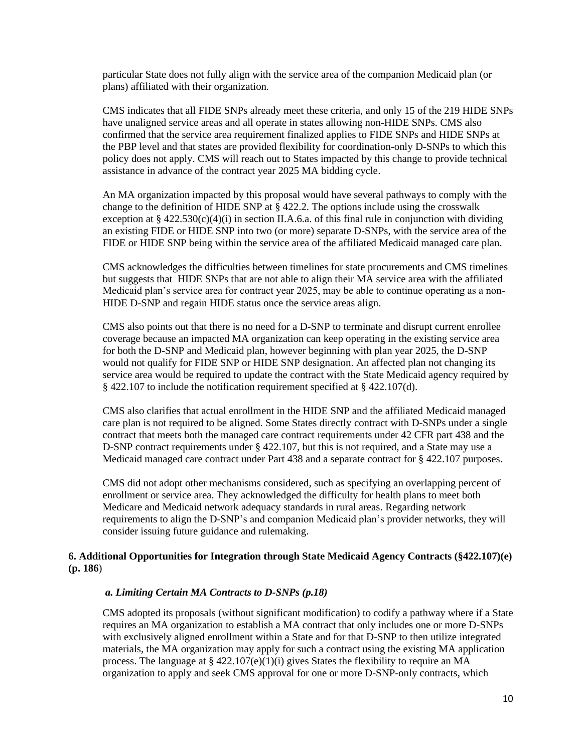particular State does not fully align with the service area of the companion Medicaid plan (or plans) affiliated with their organization*.* 

CMS indicates that all FIDE SNPs already meet these criteria, and only 15 of the 219 HIDE SNPs have unaligned service areas and all operate in states allowing non-HIDE SNPs. CMS also confirmed that the service area requirement finalized applies to FIDE SNPs and HIDE SNPs at the PBP level and that states are provided flexibility for coordination-only D-SNPs to which this policy does not apply. CMS will reach out to States impacted by this change to provide technical assistance in advance of the contract year 2025 MA bidding cycle.

An MA organization impacted by this proposal would have several pathways to comply with the change to the definition of HIDE SNP at § 422.2. The options include using the crosswalk exception at  $\S 422.530(c)(4)(i)$  in section II.A.6.a. of this final rule in conjunction with dividing an existing FIDE or HIDE SNP into two (or more) separate D-SNPs, with the service area of the FIDE or HIDE SNP being within the service area of the affiliated Medicaid managed care plan.

CMS acknowledges the difficulties between timelines for state procurements and CMS timelines but suggests that HIDE SNPs that are not able to align their MA service area with the affiliated Medicaid plan's service area for contract year 2025, may be able to continue operating as a non-HIDE D-SNP and regain HIDE status once the service areas align.

CMS also points out that there is no need for a D-SNP to terminate and disrupt current enrollee coverage because an impacted MA organization can keep operating in the existing service area for both the D-SNP and Medicaid plan, however beginning with plan year 2025, the D-SNP would not qualify for FIDE SNP or HIDE SNP designation. An affected plan not changing its service area would be required to update the contract with the State Medicaid agency required by § 422.107 to include the notification requirement specified at § 422.107(d).

CMS also clarifies that actual enrollment in the HIDE SNP and the affiliated Medicaid managed care plan is not required to be aligned. Some States directly contract with D-SNPs under a single contract that meets both the managed care contract requirements under 42 CFR part 438 and the D-SNP contract requirements under § 422.107, but this is not required, and a State may use a Medicaid managed care contract under Part 438 and a separate contract for § 422.107 purposes.

CMS did not adopt other mechanisms considered, such as specifying an overlapping percent of enrollment or service area. They acknowledged the difficulty for health plans to meet both Medicare and Medicaid network adequacy standards in rural areas. Regarding network requirements to align the D-SNP's and companion Medicaid plan's provider networks, they will consider issuing future guidance and rulemaking.

#### **6. Additional Opportunities for Integration through State Medicaid Agency Contracts (§422.107)(e) (p. 186**)

#### *a. Limiting Certain MA Contracts to D-SNPs (p.18)*

CMS adopted its proposals (without significant modification) to codify a pathway where if a State requires an MA organization to establish a MA contract that only includes one or more D-SNPs with exclusively aligned enrollment within a State and for that D-SNP to then utilize integrated materials, the MA organization may apply for such a contract using the existing MA application process. The language at  $\S$  422.107(e)(1)(i) gives States the flexibility to require an MA organization to apply and seek CMS approval for one or more D-SNP-only contracts, which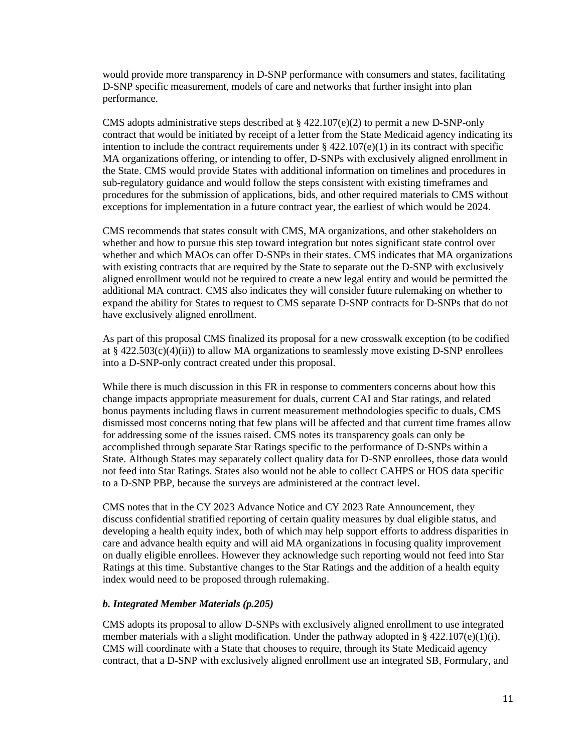would provide more transparency in D-SNP performance with consumers and states, facilitating D-SNP specific measurement, models of care and networks that further insight into plan performance.

CMS adopts administrative steps described at  $\S 422.107(e)(2)$  to permit a new D-SNP-only contract that would be initiated by receipt of a letter from the State Medicaid agency indicating its intention to include the contract requirements under  $\S 422.107(e)(1)$  in its contract with specific MA organizations offering, or intending to offer, D-SNPs with exclusively aligned enrollment in the State. CMS would provide States with additional information on timelines and procedures in sub-regulatory guidance and would follow the steps consistent with existing timeframes and procedures for the submission of applications, bids, and other required materials to CMS without exceptions for implementation in a future contract year, the earliest of which would be 2024.

CMS recommends that states consult with CMS, MA organizations, and other stakeholders on whether and how to pursue this step toward integration but notes significant state control over whether and which MAOs can offer D-SNPs in their states. CMS indicates that MA organizations with existing contracts that are required by the State to separate out the D-SNP with exclusively aligned enrollment would not be required to create a new legal entity and would be permitted the additional MA contract. CMS also indicates they will consider future rulemaking on whether to expand the ability for States to request to CMS separate D-SNP contracts for D-SNPs that do not have exclusively aligned enrollment.

As part of this proposal CMS finalized its proposal for a new crosswalk exception (to be codified at  $\S 422.503(c)(4)(ii)$  to allow MA organizations to seamlessly move existing D-SNP enrollees into a D-SNP-only contract created under this proposal.

While there is much discussion in this FR in response to commenters concerns about how this change impacts appropriate measurement for duals, current CAI and Star ratings, and related bonus payments including flaws in current measurement methodologies specific to duals, CMS dismissed most concerns noting that few plans will be affected and that current time frames allow for addressing some of the issues raised. CMS notes its transparency goals can only be accomplished through separate Star Ratings specific to the performance of D-SNPs within a State. Although States may separately collect quality data for D-SNP enrollees, those data would not feed into Star Ratings. States also would not be able to collect CAHPS or HOS data specific to a D-SNP PBP, because the surveys are administered at the contract level.

CMS notes that in the CY 2023 Advance Notice and CY 2023 Rate Announcement, they discuss confidential stratified reporting of certain quality measures by dual eligible status, and developing a health equity index, both of which may help support efforts to address disparities in care and advance health equity and will aid MA organizations in focusing quality improvement on dually eligible enrollees. However they acknowledge such reporting would not feed into Star Ratings at this time. Substantive changes to the Star Ratings and the addition of a health equity index would need to be proposed through rulemaking.

#### *b. Integrated Member Materials (p.205)*

CMS adopts its proposal to allow D-SNPs with exclusively aligned enrollment to use integrated member materials with a slight modification. Under the pathway adopted in § 422.107(e)(1)(i), CMS will coordinate with a State that chooses to require, through its State Medicaid agency contract, that a D-SNP with exclusively aligned enrollment use an integrated SB, Formulary, and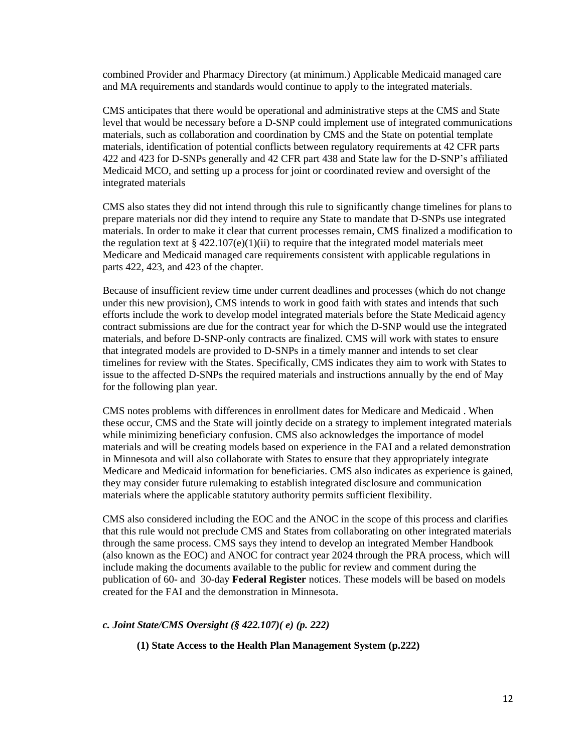combined Provider and Pharmacy Directory (at minimum.) Applicable Medicaid managed care and MA requirements and standards would continue to apply to the integrated materials.

CMS anticipates that there would be operational and administrative steps at the CMS and State level that would be necessary before a D-SNP could implement use of integrated communications materials, such as collaboration and coordination by CMS and the State on potential template materials, identification of potential conflicts between regulatory requirements at 42 CFR parts 422 and 423 for D-SNPs generally and 42 CFR part 438 and State law for the D-SNP's affiliated Medicaid MCO, and setting up a process for joint or coordinated review and oversight of the integrated materials

CMS also states they did not intend through this rule to significantly change timelines for plans to prepare materials nor did they intend to require any State to mandate that D-SNPs use integrated materials. In order to make it clear that current processes remain, CMS finalized a modification to the regulation text at  $\S 422.107(e)(1)(ii)$  to require that the integrated model materials meet Medicare and Medicaid managed care requirements consistent with applicable regulations in parts 422, 423, and 423 of the chapter.

Because of insufficient review time under current deadlines and processes (which do not change under this new provision), CMS intends to work in good faith with states and intends that such efforts include the work to develop model integrated materials before the State Medicaid agency contract submissions are due for the contract year for which the D-SNP would use the integrated materials, and before D-SNP-only contracts are finalized. CMS will work with states to ensure that integrated models are provided to D-SNPs in a timely manner and intends to set clear timelines for review with the States. Specifically, CMS indicates they aim to work with States to issue to the affected D-SNPs the required materials and instructions annually by the end of May for the following plan year.

CMS notes problems with differences in enrollment dates for Medicare and Medicaid . When these occur, CMS and the State will jointly decide on a strategy to implement integrated materials while minimizing beneficiary confusion. CMS also acknowledges the importance of model materials and will be creating models based on experience in the FAI and a related demonstration in Minnesota and will also collaborate with States to ensure that they appropriately integrate Medicare and Medicaid information for beneficiaries. CMS also indicates as experience is gained, they may consider future rulemaking to establish integrated disclosure and communication materials where the applicable statutory authority permits sufficient flexibility.

CMS also considered including the EOC and the ANOC in the scope of this process and clarifies that this rule would not preclude CMS and States from collaborating on other integrated materials through the same process. CMS says they intend to develop an integrated Member Handbook (also known as the EOC) and ANOC for contract year 2024 through the PRA process, which will include making the documents available to the public for review and comment during the publication of 60- and 30-day **Federal Register** notices. These models will be based on models created for the FAI and the demonstration in Minnesota.

#### *c. Joint State/CMS Oversight (§ 422.107)( e) (p. 222)*

#### **(1) State Access to the Health Plan Management System (p.222)**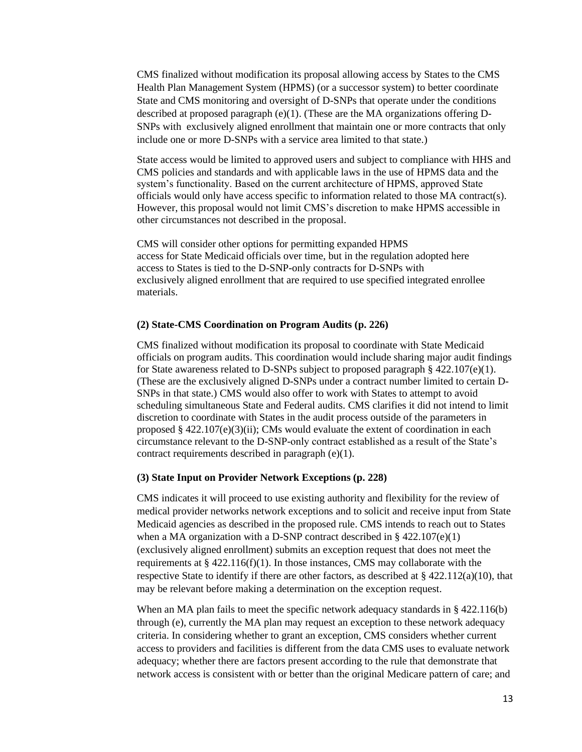CMS finalized without modification its proposal allowing access by States to the CMS Health Plan Management System (HPMS) (or a successor system) to better coordinate State and CMS monitoring and oversight of D-SNPs that operate under the conditions described at proposed paragraph (e)(1). (These are the MA organizations offering D-SNPs with exclusively aligned enrollment that maintain one or more contracts that only include one or more D-SNPs with a service area limited to that state.)

State access would be limited to approved users and subject to compliance with HHS and CMS policies and standards and with applicable laws in the use of HPMS data and the system's functionality. Based on the current architecture of HPMS, approved State officials would only have access specific to information related to those MA contract(s). However, this proposal would not limit CMS's discretion to make HPMS accessible in other circumstances not described in the proposal.

CMS will consider other options for permitting expanded HPMS access for State Medicaid officials over time, but in the regulation adopted here access to States is tied to the D-SNP-only contracts for D-SNPs with exclusively aligned enrollment that are required to use specified integrated enrollee materials.

#### **(2) State-CMS Coordination on Program Audits (p. 226)**

CMS finalized without modification its proposal to coordinate with State Medicaid officials on program audits. This coordination would include sharing major audit findings for State awareness related to D-SNPs subject to proposed paragraph  $\S$  422.107(e)(1). (These are the exclusively aligned D-SNPs under a contract number limited to certain D-SNPs in that state.) CMS would also offer to work with States to attempt to avoid scheduling simultaneous State and Federal audits. CMS clarifies it did not intend to limit discretion to coordinate with States in the audit process outside of the parameters in proposed  $\S 422.107(e)(3)(ii)$ ; CMs would evaluate the extent of coordination in each circumstance relevant to the D-SNP-only contract established as a result of the State's contract requirements described in paragraph (e)(1).

#### **(3) State Input on Provider Network Exceptions (p. 228)**

CMS indicates it will proceed to use existing authority and flexibility for the review of medical provider networks network exceptions and to solicit and receive input from State Medicaid agencies as described in the proposed rule. CMS intends to reach out to States when a MA organization with a D-SNP contract described in  $\S$  422.107(e)(1) (exclusively aligned enrollment) submits an exception request that does not meet the requirements at  $\S$  422.116(f)(1). In those instances, CMS may collaborate with the respective State to identify if there are other factors, as described at  $\S 422.112(a)(10)$ , that may be relevant before making a determination on the exception request.

When an MA plan fails to meet the specific network adequacy standards in  $\S$  422.116(b) through (e), currently the MA plan may request an exception to these network adequacy criteria. In considering whether to grant an exception, CMS considers whether current access to providers and facilities is different from the data CMS uses to evaluate network adequacy; whether there are factors present according to the rule that demonstrate that network access is consistent with or better than the original Medicare pattern of care; and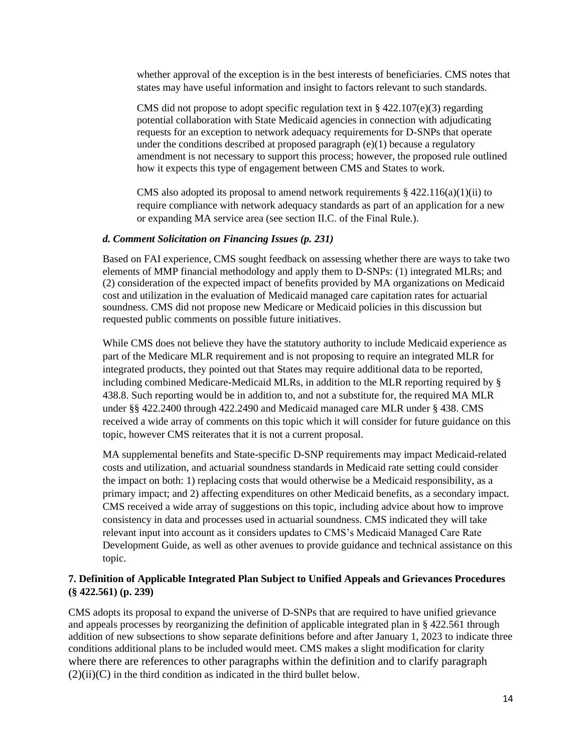whether approval of the exception is in the best interests of beneficiaries. CMS notes that states may have useful information and insight to factors relevant to such standards.

CMS did not propose to adopt specific regulation text in  $\S$  422.107(e)(3) regarding potential collaboration with State Medicaid agencies in connection with adjudicating requests for an exception to network adequacy requirements for D-SNPs that operate under the conditions described at proposed paragraph  $(e)(1)$  because a regulatory amendment is not necessary to support this process; however, the proposed rule outlined how it expects this type of engagement between CMS and States to work.

CMS also adopted its proposal to amend network requirements  $\S 422.116(a)(1)(ii)$  to require compliance with network adequacy standards as part of an application for a new or expanding MA service area (see section II.C. of the Final Rule.).

#### *d. Comment Solicitation on Financing Issues (p. 231)*

Based on FAI experience, CMS sought feedback on assessing whether there are ways to take two elements of MMP financial methodology and apply them to D-SNPs: (1) integrated MLRs; and (2) consideration of the expected impact of benefits provided by MA organizations on Medicaid cost and utilization in the evaluation of Medicaid managed care capitation rates for actuarial soundness. CMS did not propose new Medicare or Medicaid policies in this discussion but requested public comments on possible future initiatives.

While CMS does not believe they have the statutory authority to include Medicaid experience as part of the Medicare MLR requirement and is not proposing to require an integrated MLR for integrated products, they pointed out that States may require additional data to be reported, including combined Medicare-Medicaid MLRs, in addition to the MLR reporting required by § 438.8. Such reporting would be in addition to, and not a substitute for, the required MA MLR under §§ 422.2400 through 422.2490 and Medicaid managed care MLR under § 438. CMS received a wide array of comments on this topic which it will consider for future guidance on this topic, however CMS reiterates that it is not a current proposal.

MA supplemental benefits and State-specific D-SNP requirements may impact Medicaid-related costs and utilization, and actuarial soundness standards in Medicaid rate setting could consider the impact on both: 1) replacing costs that would otherwise be a Medicaid responsibility, as a primary impact; and 2) affecting expenditures on other Medicaid benefits, as a secondary impact. CMS received a wide array of suggestions on this topic, including advice about how to improve consistency in data and processes used in actuarial soundness. CMS indicated they will take relevant input into account as it considers updates to CMS's Medicaid Managed Care Rate Development Guide, as well as other avenues to provide guidance and technical assistance on this topic.

#### **7. Definition of Applicable Integrated Plan Subject to Unified Appeals and Grievances Procedures (§ 422.561) (p. 239)**

CMS adopts its proposal to expand the universe of D-SNPs that are required to have unified grievance and appeals processes by reorganizing the definition of applicable integrated plan in § 422.561 through addition of new subsections to show separate definitions before and after January 1, 2023 to indicate three conditions additional plans to be included would meet. CMS makes a slight modification for clarity where there are references to other paragraphs within the definition and to clarify paragraph  $(2)(ii)(C)$  in the third condition as indicated in the third bullet below.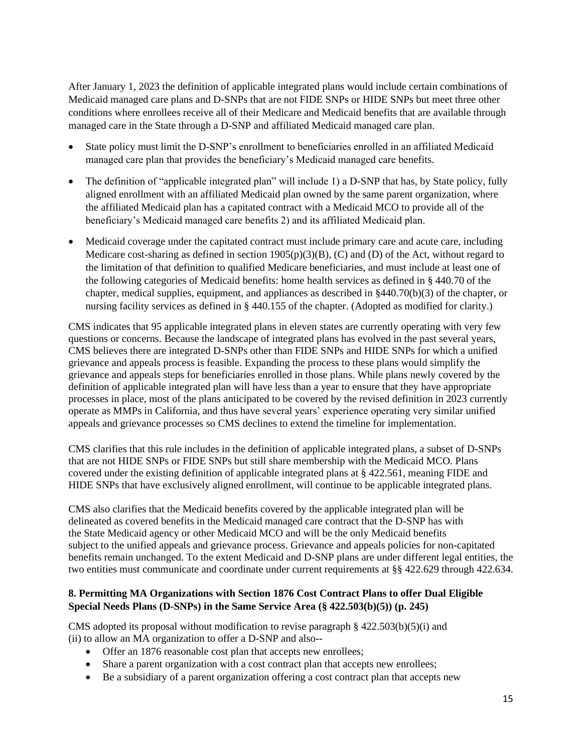After January 1, 2023 the definition of applicable integrated plans would include certain combinations of Medicaid managed care plans and D-SNPs that are not FIDE SNPs or HIDE SNPs but meet three other conditions where enrollees receive all of their Medicare and Medicaid benefits that are available through managed care in the State through a D-SNP and affiliated Medicaid managed care plan.

- State policy must limit the D-SNP's enrollment to beneficiaries enrolled in an affiliated Medicaid managed care plan that provides the beneficiary's Medicaid managed care benefits.
- The definition of "applicable integrated plan" will include 1) a D-SNP that has, by State policy, fully aligned enrollment with an affiliated Medicaid plan owned by the same parent organization, where the affiliated Medicaid plan has a capitated contract with a Medicaid MCO to provide all of the beneficiary's Medicaid managed care benefits 2) and its affiliated Medicaid plan.
- Medicaid coverage under the capitated contract must include primary care and acute care, including Medicare cost-sharing as defined in section 1905(p)(3)(B), (C) and (D) of the Act, without regard to the limitation of that definition to qualified Medicare beneficiaries, and must include at least one of the following categories of Medicaid benefits: home health services as defined in § 440.70 of the chapter, medical supplies, equipment, and appliances as described in §440.70(b)(3) of the chapter, or nursing facility services as defined in § 440.155 of the chapter. (Adopted as modified for clarity.)

CMS indicates that 95 applicable integrated plans in eleven states are currently operating with very few questions or concerns. Because the landscape of integrated plans has evolved in the past several years, CMS believes there are integrated D-SNPs other than FIDE SNPs and HIDE SNPs for which a unified grievance and appeals process is feasible. Expanding the process to these plans would simplify the grievance and appeals steps for beneficiaries enrolled in those plans. While plans newly covered by the definition of applicable integrated plan will have less than a year to ensure that they have appropriate processes in place, most of the plans anticipated to be covered by the revised definition in 2023 currently operate as MMPs in California, and thus have several years' experience operating very similar unified appeals and grievance processes so CMS declines to extend the timeline for implementation.

CMS clarifies that this rule includes in the definition of applicable integrated plans, a subset of D-SNPs that are not HIDE SNPs or FIDE SNPs but still share membership with the Medicaid MCO. Plans covered under the existing definition of applicable integrated plans at § 422.561, meaning FIDE and HIDE SNPs that have exclusively aligned enrollment, will continue to be applicable integrated plans.

CMS also clarifies that the Medicaid benefits covered by the applicable integrated plan will be delineated as covered benefits in the Medicaid managed care contract that the D-SNP has with the State Medicaid agency or other Medicaid MCO and will be the only Medicaid benefits subject to the unified appeals and grievance process. Grievance and appeals policies for non-capitated benefits remain unchanged. To the extent Medicaid and D-SNP plans are under different legal entities, the two entities must communicate and coordinate under current requirements at §§ 422.629 through 422.634.

## **8. Permitting MA Organizations with Section 1876 Cost Contract Plans to offer Dual Eligible Special Needs Plans (D-SNPs) in the Same Service Area (§ 422.503(b)(5)) (p. 245)**

CMS adopted its proposal without modification to revise paragraph  $\S$  422.503(b)(5)(i) and (ii) to allow an MA organization to offer a D-SNP and also--

- Offer an 1876 reasonable cost plan that accepts new enrollees;
- Share a parent organization with a cost contract plan that accepts new enrollees;
- Be a subsidiary of a parent organization offering a cost contract plan that accepts new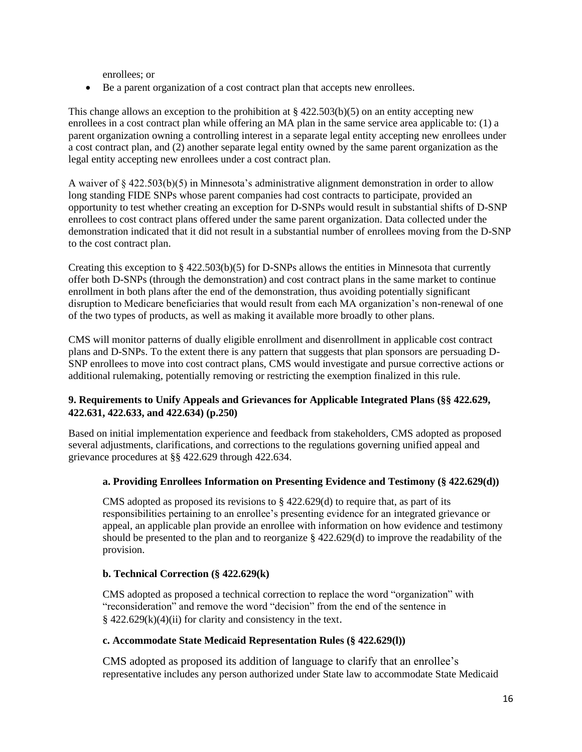enrollees; or

• Be a parent organization of a cost contract plan that accepts new enrollees.

This change allows an exception to the prohibition at  $\S 422.503(b)(5)$  on an entity accepting new enrollees in a cost contract plan while offering an MA plan in the same service area applicable to: (1) a parent organization owning a controlling interest in a separate legal entity accepting new enrollees under a cost contract plan, and (2) another separate legal entity owned by the same parent organization as the legal entity accepting new enrollees under a cost contract plan.

A waiver of § 422.503(b)(5) in Minnesota's administrative alignment demonstration in order to allow long standing FIDE SNPs whose parent companies had cost contracts to participate, provided an opportunity to test whether creating an exception for D-SNPs would result in substantial shifts of D-SNP enrollees to cost contract plans offered under the same parent organization. Data collected under the demonstration indicated that it did not result in a substantial number of enrollees moving from the D-SNP to the cost contract plan.

Creating this exception to  $\S$  422.503(b)(5) for D-SNPs allows the entities in Minnesota that currently offer both D-SNPs (through the demonstration) and cost contract plans in the same market to continue enrollment in both plans after the end of the demonstration, thus avoiding potentially significant disruption to Medicare beneficiaries that would result from each MA organization's non-renewal of one of the two types of products, as well as making it available more broadly to other plans.

CMS will monitor patterns of dually eligible enrollment and disenrollment in applicable cost contract plans and D-SNPs. To the extent there is any pattern that suggests that plan sponsors are persuading D-SNP enrollees to move into cost contract plans, CMS would investigate and pursue corrective actions or additional rulemaking, potentially removing or restricting the exemption finalized in this rule.

## **9. Requirements to Unify Appeals and Grievances for Applicable Integrated Plans (§§ 422.629, 422.631, 422.633, and 422.634) (p.250)**

Based on initial implementation experience and feedback from stakeholders, CMS adopted as proposed several adjustments, clarifications, and corrections to the regulations governing unified appeal and grievance procedures at §§ 422.629 through 422.634.

## **a. Providing Enrollees Information on Presenting Evidence and Testimony (§ 422.629(d))**

CMS adopted as proposed its revisions to  $\S$  422.629(d) to require that, as part of its responsibilities pertaining to an enrollee's presenting evidence for an integrated grievance or appeal, an applicable plan provide an enrollee with information on how evidence and testimony should be presented to the plan and to reorganize § 422.629(d) to improve the readability of the provision.

#### **b. Technical Correction (§ 422.629(k)**

CMS adopted as proposed a technical correction to replace the word "organization" with "reconsideration" and remove the word "decision" from the end of the sentence in  $§$  422.629(k)(4)(ii) for clarity and consistency in the text.

#### **c. Accommodate State Medicaid Representation Rules (§ 422.629(l))**

CMS adopted as proposed its addition of language to clarify that an enrollee's representative includes any person authorized under State law to accommodate State Medicaid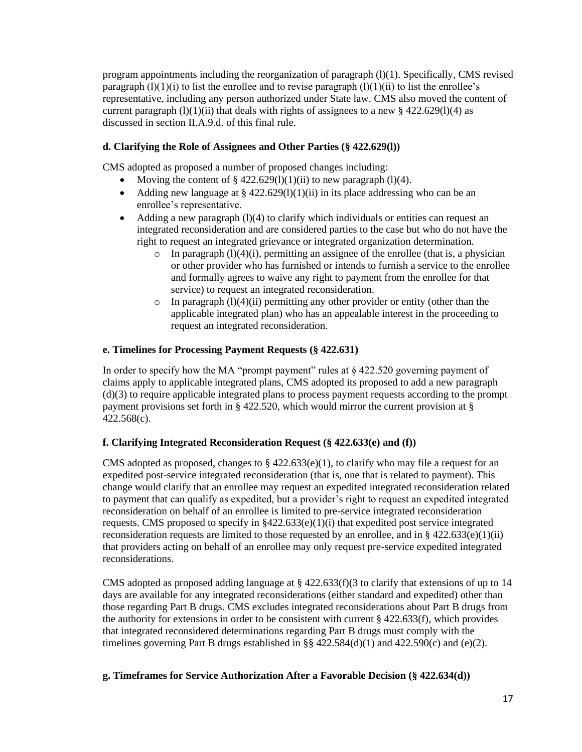program appointments including the reorganization of paragraph  $(l)(1)$ . Specifically, CMS revised paragraph  $(1)(1)(i)$  to list the enrollee and to revise paragraph  $(1)(1)(ii)$  to list the enrollee's representative, including any person authorized under State law. CMS also moved the content of current paragraph  $(l)(1)(ii)$  that deals with rights of assignees to a new § 422.629(1)(4) as discussed in section II.A.9.d. of this final rule.

## **d. Clarifying the Role of Assignees and Other Parties (§ 422.629(l))**

CMS adopted as proposed a number of proposed changes including:

- Moving the content of  $\S 422.629(l)(1)(ii)$  to new paragraph (1)(4).
- Adding new language at  $\S 422.629(1)(1)(ii)$  in its place addressing who can be an enrollee's representative.
- Adding a new paragraph  $(1)(4)$  to clarify which individuals or entities can request an integrated reconsideration and are considered parties to the case but who do not have the right to request an integrated grievance or integrated organization determination.
	- $\circ$  In paragraph (1)(4)(i), permitting an assignee of the enrollee (that is, a physician or other provider who has furnished or intends to furnish a service to the enrollee and formally agrees to waive any right to payment from the enrollee for that service) to request an integrated reconsideration.
	- $\circ$  In paragraph (1)(4)(ii) permitting any other provider or entity (other than the applicable integrated plan) who has an appealable interest in the proceeding to request an integrated reconsideration.

## **e. Timelines for Processing Payment Requests (§ 422.631)**

In order to specify how the MA "prompt payment" rules at § 422.520 governing payment of claims apply to applicable integrated plans, CMS adopted its proposed to add a new paragraph (d)(3) to require applicable integrated plans to process payment requests according to the prompt payment provisions set forth in § 422.520, which would mirror the current provision at § 422.568(c).

## **f. Clarifying Integrated Reconsideration Request (§ 422.633(e) and (f))**

CMS adopted as proposed, changes to  $\S$  422.633(e)(1), to clarify who may file a request for an expedited post-service integrated reconsideration (that is, one that is related to payment). This change would clarify that an enrollee may request an expedited integrated reconsideration related to payment that can qualify as expedited, but a provider's right to request an expedited integrated reconsideration on behalf of an enrollee is limited to pre-service integrated reconsideration requests. CMS proposed to specify in  $§422.633(e)(1)(i)$  that expedited post service integrated reconsideration requests are limited to those requested by an enrollee, and in  $\S$  422.633(e)(1)(ii) that providers acting on behalf of an enrollee may only request pre-service expedited integrated reconsiderations.

CMS adopted as proposed adding language at  $\S$  422.633(f)(3 to clarify that extensions of up to 14 days are available for any integrated reconsiderations (either standard and expedited) other than those regarding Part B drugs. CMS excludes integrated reconsiderations about Part B drugs from the authority for extensions in order to be consistent with current  $\S$  422.633(f), which provides that integrated reconsidered determinations regarding Part B drugs must comply with the timelines governing Part B drugs established in  $\S$ § 422.584(d)(1) and 422.590(c) and (e)(2).

## **g. Timeframes for Service Authorization After a Favorable Decision (§ 422.634(d))**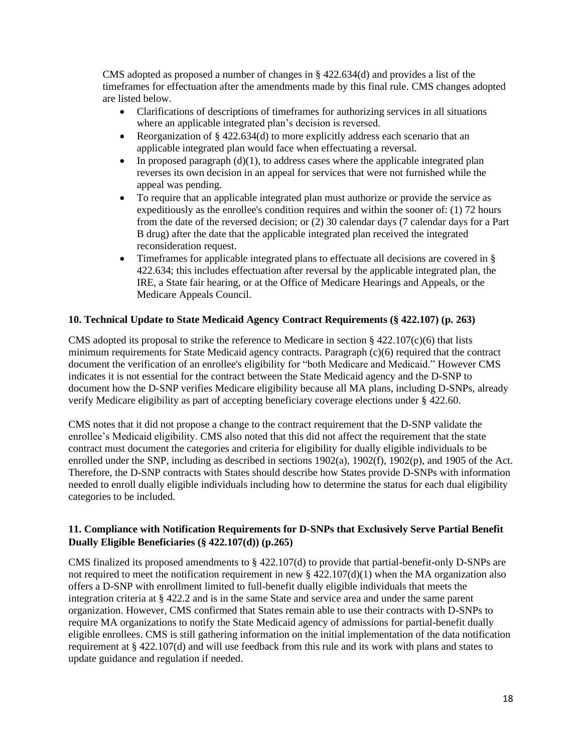CMS adopted as proposed a number of changes in § 422.634(d) and provides a list of the timeframes for effectuation after the amendments made by this final rule. CMS changes adopted are listed below.

- Clarifications of descriptions of timeframes for authorizing services in all situations where an applicable integrated plan's decision is reversed.
- Reorganization of § 422.634(d) to more explicitly address each scenario that an applicable integrated plan would face when effectuating a reversal.
- In proposed paragraph  $(d)(1)$ , to address cases where the applicable integrated plan reverses its own decision in an appeal for services that were not furnished while the appeal was pending.
- To require that an applicable integrated plan must authorize or provide the service as expeditiously as the enrollee's condition requires and within the sooner of: (1) 72 hours from the date of the reversed decision; or (2) 30 calendar days (7 calendar days for a Part B drug) after the date that the applicable integrated plan received the integrated reconsideration request.
- Timeframes for applicable integrated plans to effectuate all decisions are covered in § 422.634; this includes effectuation after reversal by the applicable integrated plan, the IRE, a State fair hearing, or at the Office of Medicare Hearings and Appeals, or the Medicare Appeals Council.

## **10. Technical Update to State Medicaid Agency Contract Requirements (§ 422.107) (p. 263)**

CMS adopted its proposal to strike the reference to Medicare in section  $\S$  422.107(c)(6) that lists minimum requirements for State Medicaid agency contracts. Paragraph (c)(6) required that the contract document the verification of an enrollee's eligibility for "both Medicare and Medicaid." However CMS indicates it is not essential for the contract between the State Medicaid agency and the D-SNP to document how the D-SNP verifies Medicare eligibility because all MA plans, including D-SNPs, already verify Medicare eligibility as part of accepting beneficiary coverage elections under § 422.60.

CMS notes that it did not propose a change to the contract requirement that the D-SNP validate the enrollee's Medicaid eligibility. CMS also noted that this did not affect the requirement that the state contract must document the categories and criteria for eligibility for dually eligible individuals to be enrolled under the SNP, including as described in sections 1902(a), 1902(f), 1902(p), and 1905 of the Act. Therefore, the D-SNP contracts with States should describe how States provide D-SNPs with information needed to enroll dually eligible individuals including how to determine the status for each dual eligibility categories to be included.

## **11. Compliance with Notification Requirements for D-SNPs that Exclusively Serve Partial Benefit Dually Eligible Beneficiaries (§ 422.107(d)) (p.265)**

CMS finalized its proposed amendments to § 422.107(d) to provide that partial-benefit-only D-SNPs are not required to meet the notification requirement in new  $\S 422.107(d)(1)$  when the MA organization also offers a D-SNP with enrollment limited to full-benefit dually eligible individuals that meets the integration criteria at § 422.2 and is in the same State and service area and under the same parent organization. However, CMS confirmed that States remain able to use their contracts with D-SNPs to require MA organizations to notify the State Medicaid agency of admissions for partial-benefit dually eligible enrollees. CMS is still gathering information on the initial implementation of the data notification requirement at § 422.107(d) and will use feedback from this rule and its work with plans and states to update guidance and regulation if needed.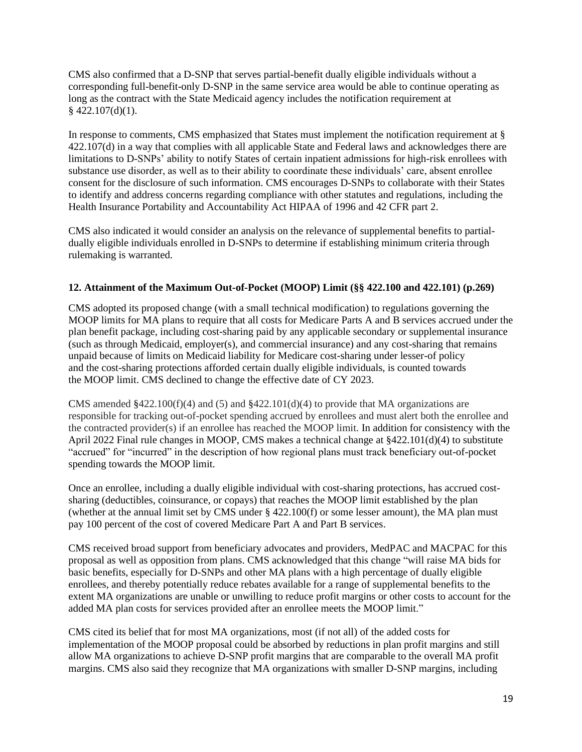CMS also confirmed that a D-SNP that serves partial-benefit dually eligible individuals without a corresponding full-benefit-only D-SNP in the same service area would be able to continue operating as long as the contract with the State Medicaid agency includes the notification requirement at  $§$  422.107(d)(1).

In response to comments, CMS emphasized that States must implement the notification requirement at § 422.107(d) in a way that complies with all applicable State and Federal laws and acknowledges there are limitations to D-SNPs' ability to notify States of certain inpatient admissions for high-risk enrollees with substance use disorder, as well as to their ability to coordinate these individuals' care, absent enrollee consent for the disclosure of such information. CMS encourages D-SNPs to collaborate with their States to identify and address concerns regarding compliance with other statutes and regulations, including the Health Insurance Portability and Accountability Act HIPAA of 1996 and 42 CFR part 2.

CMS also indicated it would consider an analysis on the relevance of supplemental benefits to partialdually eligible individuals enrolled in D-SNPs to determine if establishing minimum criteria through rulemaking is warranted.

## **12. Attainment of the Maximum Out-of-Pocket (MOOP) Limit (§§ 422.100 and 422.101) (p.269)**

CMS adopted its proposed change (with a small technical modification) to regulations governing the MOOP limits for MA plans to require that all costs for Medicare Parts A and B services accrued under the plan benefit package, including cost-sharing paid by any applicable secondary or supplemental insurance (such as through Medicaid, employer(s), and commercial insurance) and any cost-sharing that remains unpaid because of limits on Medicaid liability for Medicare cost-sharing under lesser-of policy and the cost-sharing protections afforded certain dually eligible individuals, is counted towards the MOOP limit. CMS declined to change the effective date of CY 2023.

CMS amended  $$422.100(f)(4)$  and  $$422.101(d)(4)$  to provide that MA organizations are responsible for tracking out-of-pocket spending accrued by enrollees and must alert both the enrollee and the contracted provider(s) if an enrollee has reached the MOOP limit. In addition for consistency with the April 2022 Final rule changes in MOOP, CMS makes a technical change at §422.101(d)(4) to substitute "accrued" for "incurred" in the description of how regional plans must track beneficiary out-of-pocket spending towards the MOOP limit.

Once an enrollee, including a dually eligible individual with cost-sharing protections, has accrued costsharing (deductibles, coinsurance, or copays) that reaches the MOOP limit established by the plan (whether at the annual limit set by CMS under § 422.100(f) or some lesser amount), the MA plan must pay 100 percent of the cost of covered Medicare Part A and Part B services.

CMS received broad support from beneficiary advocates and providers, MedPAC and MACPAC for this proposal as well as opposition from plans. CMS acknowledged that this change "will raise MA bids for basic benefits, especially for D-SNPs and other MA plans with a high percentage of dually eligible enrollees, and thereby potentially reduce rebates available for a range of supplemental benefits to the extent MA organizations are unable or unwilling to reduce profit margins or other costs to account for the added MA plan costs for services provided after an enrollee meets the MOOP limit."

CMS cited its belief that for most MA organizations, most (if not all) of the added costs for implementation of the MOOP proposal could be absorbed by reductions in plan profit margins and still allow MA organizations to achieve D-SNP profit margins that are comparable to the overall MA profit margins. CMS also said they recognize that MA organizations with smaller D-SNP margins, including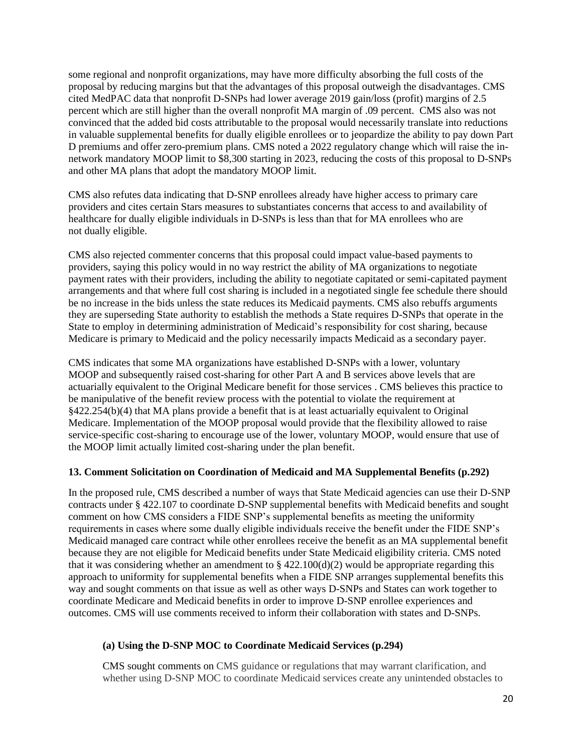some regional and nonprofit organizations, may have more difficulty absorbing the full costs of the proposal by reducing margins but that the advantages of this proposal outweigh the disadvantages. CMS cited MedPAC data that nonprofit D-SNPs had lower average 2019 gain/loss (profit) margins of 2.5 percent which are still higher than the overall nonprofit MA margin of .09 percent. CMS also was not convinced that the added bid costs attributable to the proposal would necessarily translate into reductions in valuable supplemental benefits for dually eligible enrollees or to jeopardize the ability to pay down Part D premiums and offer zero-premium plans. CMS noted a 2022 regulatory change which will raise the innetwork mandatory MOOP limit to \$8,300 starting in 2023, reducing the costs of this proposal to D-SNPs and other MA plans that adopt the mandatory MOOP limit.

CMS also refutes data indicating that D-SNP enrollees already have higher access to primary care providers and cites certain Stars measures to substantiates concerns that access to and availability of healthcare for dually eligible individuals in D-SNPs is less than that for MA enrollees who are not dually eligible.

CMS also rejected commenter concerns that this proposal could impact value-based payments to providers, saying this policy would in no way restrict the ability of MA organizations to negotiate payment rates with their providers, including the ability to negotiate capitated or semi-capitated payment arrangements and that where full cost sharing is included in a negotiated single fee schedule there should be no increase in the bids unless the state reduces its Medicaid payments. CMS also rebuffs arguments they are superseding State authority to establish the methods a State requires D-SNPs that operate in the State to employ in determining administration of Medicaid's responsibility for cost sharing, because Medicare is primary to Medicaid and the policy necessarily impacts Medicaid as a secondary payer.

CMS indicates that some MA organizations have established D-SNPs with a lower, voluntary MOOP and subsequently raised cost-sharing for other Part A and B services above levels that are actuarially equivalent to the Original Medicare benefit for those services . CMS believes this practice to be manipulative of the benefit review process with the potential to violate the requirement at §422.254(b)(4) that MA plans provide a benefit that is at least actuarially equivalent to Original Medicare. Implementation of the MOOP proposal would provide that the flexibility allowed to raise service-specific cost-sharing to encourage use of the lower, voluntary MOOP, would ensure that use of the MOOP limit actually limited cost-sharing under the plan benefit.

#### **13. Comment Solicitation on Coordination of Medicaid and MA Supplemental Benefits (p.292)**

In the proposed rule, CMS described a number of ways that State Medicaid agencies can use their D-SNP contracts under § 422.107 to coordinate D-SNP supplemental benefits with Medicaid benefits and sought comment on how CMS considers a FIDE SNP's supplemental benefits as meeting the uniformity requirements in cases where some dually eligible individuals receive the benefit under the FIDE SNP's Medicaid managed care contract while other enrollees receive the benefit as an MA supplemental benefit because they are not eligible for Medicaid benefits under State Medicaid eligibility criteria. CMS noted that it was considering whether an amendment to  $\S 422.100(d)(2)$  would be appropriate regarding this approach to uniformity for supplemental benefits when a FIDE SNP arranges supplemental benefits this way and sought comments on that issue as well as other ways D-SNPs and States can work together to coordinate Medicare and Medicaid benefits in order to improve D-SNP enrollee experiences and outcomes. CMS will use comments received to inform their collaboration with states and D-SNPs.

## **(a) Using the D-SNP MOC to Coordinate Medicaid Services (p.294)**

CMS sought comments on CMS guidance or regulations that may warrant clarification, and whether using D-SNP MOC to coordinate Medicaid services create any unintended obstacles to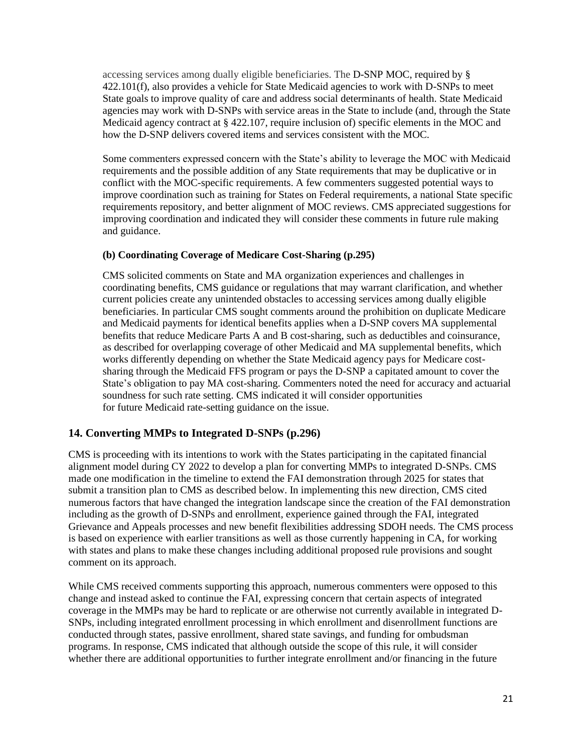accessing services among dually eligible beneficiaries. The D-SNP MOC, required by § 422.101(f), also provides a vehicle for State Medicaid agencies to work with D-SNPs to meet State goals to improve quality of care and address social determinants of health. State Medicaid agencies may work with D-SNPs with service areas in the State to include (and, through the State Medicaid agency contract at § 422.107, require inclusion of) specific elements in the MOC and how the D-SNP delivers covered items and services consistent with the MOC.

Some commenters expressed concern with the State's ability to leverage the MOC with Medicaid requirements and the possible addition of any State requirements that may be duplicative or in conflict with the MOC-specific requirements. A few commenters suggested potential ways to improve coordination such as training for States on Federal requirements, a national State specific requirements repository, and better alignment of MOC reviews. CMS appreciated suggestions for improving coordination and indicated they will consider these comments in future rule making and guidance.

#### **(b) Coordinating Coverage of Medicare Cost-Sharing (p.295)**

CMS solicited comments on State and MA organization experiences and challenges in coordinating benefits, CMS guidance or regulations that may warrant clarification, and whether current policies create any unintended obstacles to accessing services among dually eligible beneficiaries. In particular CMS sought comments around the prohibition on duplicate Medicare and Medicaid payments for identical benefits applies when a D-SNP covers MA supplemental benefits that reduce Medicare Parts A and B cost-sharing, such as deductibles and coinsurance, as described for overlapping coverage of other Medicaid and MA supplemental benefits, which works differently depending on whether the State Medicaid agency pays for Medicare costsharing through the Medicaid FFS program or pays the D-SNP a capitated amount to cover the State's obligation to pay MA cost-sharing. Commenters noted the need for accuracy and actuarial soundness for such rate setting. CMS indicated it will consider opportunities for future Medicaid rate-setting guidance on the issue.

## **14. Converting MMPs to Integrated D-SNPs (p.296)**

CMS is proceeding with its intentions to work with the States participating in the capitated financial alignment model during CY 2022 to develop a plan for converting MMPs to integrated D-SNPs. CMS made one modification in the timeline to extend the FAI demonstration through 2025 for states that submit a transition plan to CMS as described below. In implementing this new direction, CMS cited numerous factors that have changed the integration landscape since the creation of the FAI demonstration including as the growth of D-SNPs and enrollment, experience gained through the FAI, integrated Grievance and Appeals processes and new benefit flexibilities addressing SDOH needs. The CMS process is based on experience with earlier transitions as well as those currently happening in CA, for working with states and plans to make these changes including additional proposed rule provisions and sought comment on its approach.

While CMS received comments supporting this approach, numerous commenters were opposed to this change and instead asked to continue the FAI, expressing concern that certain aspects of integrated coverage in the MMPs may be hard to replicate or are otherwise not currently available in integrated D-SNPs, including integrated enrollment processing in which enrollment and disenrollment functions are conducted through states, passive enrollment, shared state savings, and funding for ombudsman programs. In response, CMS indicated that although outside the scope of this rule, it will consider whether there are additional opportunities to further integrate enrollment and/or financing in the future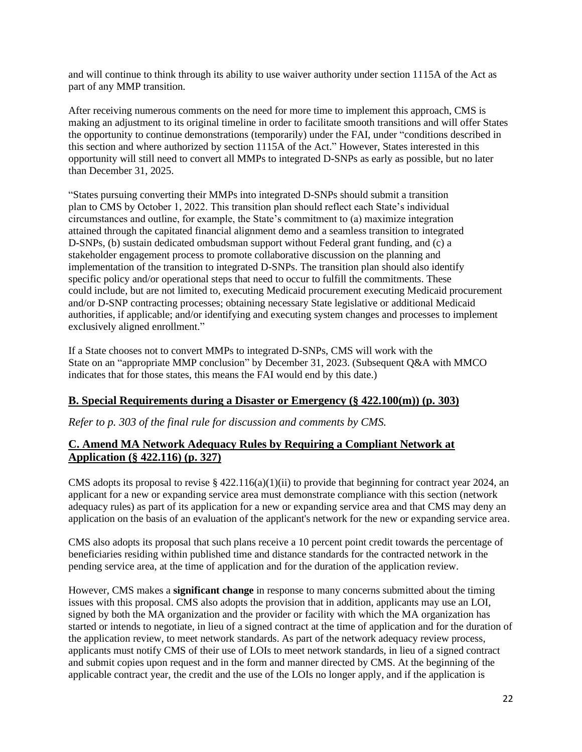and will continue to think through its ability to use waiver authority under section 1115A of the Act as part of any MMP transition.

After receiving numerous comments on the need for more time to implement this approach, CMS is making an adjustment to its original timeline in order to facilitate smooth transitions and will offer States the opportunity to continue demonstrations (temporarily) under the FAI, under "conditions described in this section and where authorized by section 1115A of the Act." However, States interested in this opportunity will still need to convert all MMPs to integrated D-SNPs as early as possible, but no later than December 31, 2025.

"States pursuing converting their MMPs into integrated D-SNPs should submit a transition plan to CMS by October 1, 2022. This transition plan should reflect each State's individual circumstances and outline, for example, the State's commitment to (a) maximize integration attained through the capitated financial alignment demo and a seamless transition to integrated D-SNPs, (b) sustain dedicated ombudsman support without Federal grant funding, and (c) a stakeholder engagement process to promote collaborative discussion on the planning and implementation of the transition to integrated D-SNPs. The transition plan should also identify specific policy and/or operational steps that need to occur to fulfill the commitments. These could include, but are not limited to, executing Medicaid procurement executing Medicaid procurement and/or D-SNP contracting processes; obtaining necessary State legislative or additional Medicaid authorities, if applicable; and/or identifying and executing system changes and processes to implement exclusively aligned enrollment."

If a State chooses not to convert MMPs to integrated D-SNPs, CMS will work with the State on an "appropriate MMP conclusion" by December 31, 2023. (Subsequent Q&A with MMCO indicates that for those states, this means the FAI would end by this date.)

## **B. Special Requirements during a Disaster or Emergency (§ 422.100(m)) (p. 303)**

*Refer to p. 303 of the final rule for discussion and comments by CMS.* 

## **C. Amend MA Network Adequacy Rules by Requiring a Compliant Network at Application (§ 422.116) (p. 327)**

CMS adopts its proposal to revise  $\S 422.116(a)(1)(ii)$  to provide that beginning for contract year 2024, an applicant for a new or expanding service area must demonstrate compliance with this section (network adequacy rules) as part of its application for a new or expanding service area and that CMS may deny an application on the basis of an evaluation of the applicant's network for the new or expanding service area.

CMS also adopts its proposal that such plans receive a 10 percent point credit towards the percentage of beneficiaries residing within published time and distance standards for the contracted network in the pending service area, at the time of application and for the duration of the application review.

However, CMS makes a **significant change** in response to many concerns submitted about the timing issues with this proposal. CMS also adopts the provision that in addition, applicants may use an LOI, signed by both the MA organization and the provider or facility with which the MA organization has started or intends to negotiate, in lieu of a signed contract at the time of application and for the duration of the application review, to meet network standards. As part of the network adequacy review process, applicants must notify CMS of their use of LOIs to meet network standards, in lieu of a signed contract and submit copies upon request and in the form and manner directed by CMS. At the beginning of the applicable contract year, the credit and the use of the LOIs no longer apply, and if the application is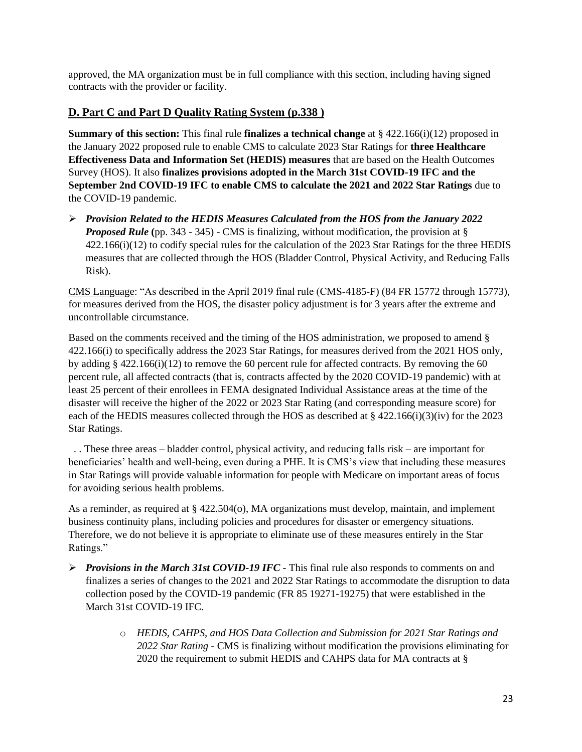approved, the MA organization must be in full compliance with this section, including having signed contracts with the provider or facility.

# **D. Part C and Part D Quality Rating System (p.338 )**

**Summary of this section:** This final rule **finalizes a technical change** at § 422.166(i)(12) proposed in the January 2022 proposed rule to enable CMS to calculate 2023 Star Ratings for **three Healthcare Effectiveness Data and Information Set (HEDIS) measures** that are based on the Health Outcomes Survey (HOS). It also **finalizes provisions adopted in the March 31st COVID-19 IFC and the September 2nd COVID-19 IFC to enable CMS to calculate the 2021 and 2022 Star Ratings** due to the COVID-19 pandemic.

➢ *Provision Related to the HEDIS Measures Calculated from the HOS from the January 2022 Proposed Rule* **(**pp. 343 - 345) - CMS is finalizing, without modification, the provision at § 422.166(i)(12) to codify special rules for the calculation of the 2023 Star Ratings for the three HEDIS measures that are collected through the HOS (Bladder Control, Physical Activity, and Reducing Falls Risk).

CMS Language: "As described in the April 2019 final rule (CMS-4185-F) (84 FR 15772 through 15773), for measures derived from the HOS, the disaster policy adjustment is for 3 years after the extreme and uncontrollable circumstance.

Based on the comments received and the timing of the HOS administration, we proposed to amend § 422.166(i) to specifically address the 2023 Star Ratings, for measures derived from the 2021 HOS only, by adding § 422.166(i)(12) to remove the 60 percent rule for affected contracts. By removing the 60 percent rule, all affected contracts (that is, contracts affected by the 2020 COVID-19 pandemic) with at least 25 percent of their enrollees in FEMA designated Individual Assistance areas at the time of the disaster will receive the higher of the 2022 or 2023 Star Rating (and corresponding measure score) for each of the HEDIS measures collected through the HOS as described at  $\S$  422.166(i)(3)(iv) for the 2023 Star Ratings.

 . . These three areas – bladder control, physical activity, and reducing falls risk – are important for beneficiaries' health and well-being, even during a PHE. It is CMS's view that including these measures in Star Ratings will provide valuable information for people with Medicare on important areas of focus for avoiding serious health problems.

As a reminder, as required at § 422.504(o), MA organizations must develop, maintain, and implement business continuity plans, including policies and procedures for disaster or emergency situations. Therefore, we do not believe it is appropriate to eliminate use of these measures entirely in the Star Ratings."

- ➢ *Provisions in the March 31st COVID-19 IFC* This final rule also responds to comments on and finalizes a series of changes to the 2021 and 2022 Star Ratings to accommodate the disruption to data collection posed by the COVID-19 pandemic (FR 85 19271-19275) that were established in the March 31st COVID-19 IFC.
	- o *HEDIS, CAHPS, and HOS Data Collection and Submission for 2021 Star Ratings and 2022 Star Rating -* CMS is finalizing without modification the provisions eliminating for 2020 the requirement to submit HEDIS and CAHPS data for MA contracts at §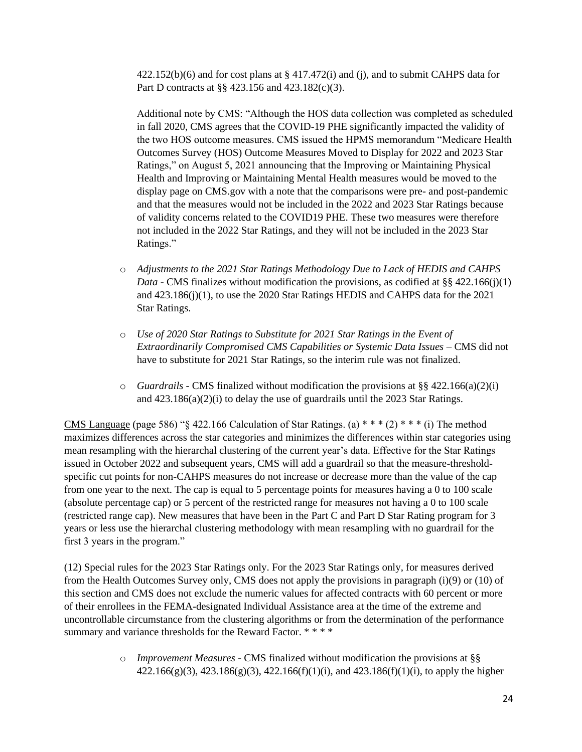$422.152(b)(6)$  and for cost plans at §  $417.472(i)$  and (j), and to submit CAHPS data for Part D contracts at §§ 423.156 and 423.182(c)(3).

Additional note by CMS: "Although the HOS data collection was completed as scheduled in fall 2020, CMS agrees that the COVID-19 PHE significantly impacted the validity of the two HOS outcome measures. CMS issued the HPMS memorandum "Medicare Health Outcomes Survey (HOS) Outcome Measures Moved to Display for 2022 and 2023 Star Ratings," on August 5, 2021 announcing that the Improving or Maintaining Physical Health and Improving or Maintaining Mental Health measures would be moved to the display page on CMS.gov with a note that the comparisons were pre- and post-pandemic and that the measures would not be included in the 2022 and 2023 Star Ratings because of validity concerns related to the COVID19 PHE. These two measures were therefore not included in the 2022 Star Ratings, and they will not be included in the 2023 Star Ratings."

- o *Adjustments to the 2021 Star Ratings Methodology Due to Lack of HEDIS and CAHPS Data -* CMS finalizes without modification the provisions, as codified at §§ 422.166(j)(1) and 423.186(j)(1), to use the 2020 Star Ratings HEDIS and CAHPS data for the 2021 Star Ratings.
- o *Use of 2020 Star Ratings to Substitute for 2021 Star Ratings in the Event of Extraordinarily Compromised CMS Capabilities or Systemic Data Issues* – CMS did not have to substitute for 2021 Star Ratings, so the interim rule was not finalized.
- $\circ$  *Guardrails -* CMS finalized without modification the provisions at §§ 422.166(a)(2)(i) and  $423.186(a)(2)(i)$  to delay the use of guardrails until the 2023 Star Ratings.

CMS Language (page 586) "§ 422.166 Calculation of Star Ratings. (a)  $***$  (2)  $***$  (i) The method maximizes differences across the star categories and minimizes the differences within star categories using mean resampling with the hierarchal clustering of the current year's data. Effective for the Star Ratings issued in October 2022 and subsequent years, CMS will add a guardrail so that the measure-thresholdspecific cut points for non-CAHPS measures do not increase or decrease more than the value of the cap from one year to the next. The cap is equal to 5 percentage points for measures having a 0 to 100 scale (absolute percentage cap) or 5 percent of the restricted range for measures not having a 0 to 100 scale (restricted range cap). New measures that have been in the Part C and Part D Star Rating program for 3 years or less use the hierarchal clustering methodology with mean resampling with no guardrail for the first 3 years in the program."

(12) Special rules for the 2023 Star Ratings only. For the 2023 Star Ratings only, for measures derived from the Health Outcomes Survey only, CMS does not apply the provisions in paragraph (i)(9) or (10) of this section and CMS does not exclude the numeric values for affected contracts with 60 percent or more of their enrollees in the FEMA-designated Individual Assistance area at the time of the extreme and uncontrollable circumstance from the clustering algorithms or from the determination of the performance summary and variance thresholds for the Reward Factor. \*\*\*\*

> o *Improvement Measures -* CMS finalized without modification the provisions at §§ 422.166(g)(3), 423.186(g)(3), 422.166(f)(1)(i), and 423.186(f)(1)(i), to apply the higher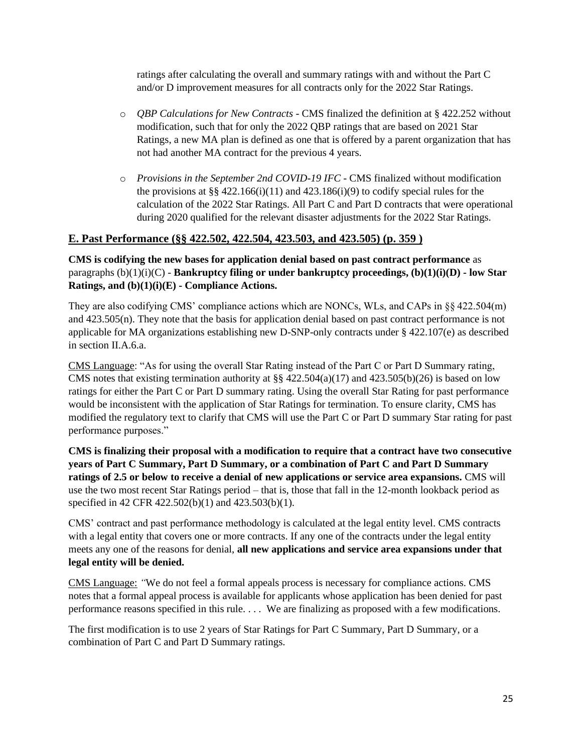ratings after calculating the overall and summary ratings with and without the Part C and/or D improvement measures for all contracts only for the 2022 Star Ratings.

- o *QBP Calculations for New Contracts* CMS finalized the definition at § 422.252 without modification, such that for only the 2022 QBP ratings that are based on 2021 Star Ratings, a new MA plan is defined as one that is offered by a parent organization that has not had another MA contract for the previous 4 years.
- o *Provisions in the September 2nd COVID-19 IFC* CMS finalized without modification the provisions at §§ 422.166(i)(11) and 423.186(i)(9) to codify special rules for the calculation of the 2022 Star Ratings. All Part C and Part D contracts that were operational during 2020 qualified for the relevant disaster adjustments for the 2022 Star Ratings.

# **E. Past Performance (§§ 422.502, 422.504, 423.503, and 423.505) (p. 359 )**

**CMS is codifying the new bases for application denial based on past contract performance** as paragraphs (b)(1)(i)(C) - **Bankruptcy filing or under bankruptcy proceedings, (b)(1)(i)(D) - low Star Ratings, and (b)(1)(i)(E) - Compliance Actions.**

They are also codifying CMS' compliance actions which are NONCs, WLs, and CAPs in §§ 422.504(m) and 423.505(n). They note that the basis for application denial based on past contract performance is not applicable for MA organizations establishing new D-SNP-only contracts under § 422.107(e) as described in section II.A.6.a.

CMS Language: "As for using the overall Star Rating instead of the Part C or Part D Summary rating, CMS notes that existing termination authority at  $\S § 422.504(a)(17)$  and  $423.505(b)(26)$  is based on low ratings for either the Part C or Part D summary rating. Using the overall Star Rating for past performance would be inconsistent with the application of Star Ratings for termination. To ensure clarity, CMS has modified the regulatory text to clarify that CMS will use the Part C or Part D summary Star rating for past performance purposes."

**CMS is finalizing their proposal with a modification to require that a contract have two consecutive years of Part C Summary, Part D Summary, or a combination of Part C and Part D Summary ratings of 2.5 or below to receive a denial of new applications or service area expansions.** CMS will use the two most recent Star Ratings period – that is, those that fall in the 12-month lookback period as specified in 42 CFR 422.502(b)(1) and 423.503(b)(1).

CMS' contract and past performance methodology is calculated at the legal entity level. CMS contracts with a legal entity that covers one or more contracts. If any one of the contracts under the legal entity meets any one of the reasons for denial, **all new applications and service area expansions under that legal entity will be denied.**

CMS Language: *"*We do not feel a formal appeals process is necessary for compliance actions. CMS notes that a formal appeal process is available for applicants whose application has been denied for past performance reasons specified in this rule. . . . We are finalizing as proposed with a few modifications.

The first modification is to use 2 years of Star Ratings for Part C Summary, Part D Summary, or a combination of Part C and Part D Summary ratings.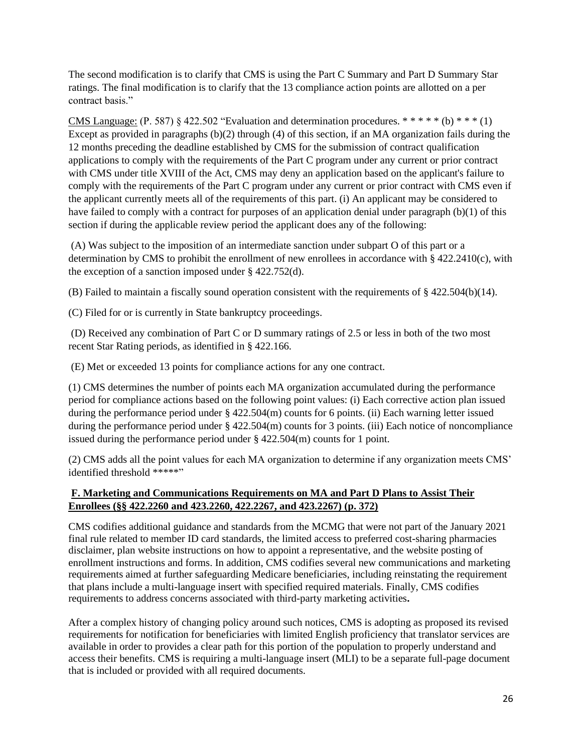The second modification is to clarify that CMS is using the Part C Summary and Part D Summary Star ratings. The final modification is to clarify that the 13 compliance action points are allotted on a per contract basis."

CMS Language: (P. 587) § 422.502 "Evaluation and determination procedures.  $*****(b)$  \* \*  $*(1)$ Except as provided in paragraphs (b)(2) through (4) of this section, if an MA organization fails during the 12 months preceding the deadline established by CMS for the submission of contract qualification applications to comply with the requirements of the Part C program under any current or prior contract with CMS under title XVIII of the Act, CMS may deny an application based on the applicant's failure to comply with the requirements of the Part C program under any current or prior contract with CMS even if the applicant currently meets all of the requirements of this part. (i) An applicant may be considered to have failed to comply with a contract for purposes of an application denial under paragraph (b)(1) of this section if during the applicable review period the applicant does any of the following:

(A) Was subject to the imposition of an intermediate sanction under subpart O of this part or a determination by CMS to prohibit the enrollment of new enrollees in accordance with  $\S$  422.2410(c), with the exception of a sanction imposed under § 422.752(d).

(B) Failed to maintain a fiscally sound operation consistent with the requirements of § 422.504(b)(14).

(C) Filed for or is currently in State bankruptcy proceedings.

(D) Received any combination of Part C or D summary ratings of 2.5 or less in both of the two most recent Star Rating periods, as identified in § 422.166.

(E) Met or exceeded 13 points for compliance actions for any one contract.

(1) CMS determines the number of points each MA organization accumulated during the performance period for compliance actions based on the following point values: (i) Each corrective action plan issued during the performance period under § 422.504(m) counts for 6 points. (ii) Each warning letter issued during the performance period under § 422.504(m) counts for 3 points. (iii) Each notice of noncompliance issued during the performance period under § 422.504(m) counts for 1 point.

(2) CMS adds all the point values for each MA organization to determine if any organization meets CMS' identified threshold \*\*\*\*\*"

## **F. Marketing and Communications Requirements on MA and Part D Plans to Assist Their Enrollees (§§ 422.2260 and 423.2260, 422.2267, and 423.2267) (p. 372)**

CMS codifies additional guidance and standards from the MCMG that were not part of the January 2021 final rule related to member ID card standards, the limited access to preferred cost-sharing pharmacies disclaimer, plan website instructions on how to appoint a representative, and the website posting of enrollment instructions and forms. In addition, CMS codifies several new communications and marketing requirements aimed at further safeguarding Medicare beneficiaries, including reinstating the requirement that plans include a multi-language insert with specified required materials. Finally, CMS codifies requirements to address concerns associated with third-party marketing activities**.**

After a complex history of changing policy around such notices, CMS is adopting as proposed its revised requirements for notification for beneficiaries with limited English proficiency that translator services are available in order to provides a clear path for this portion of the population to properly understand and access their benefits. CMS is requiring a multi-language insert (MLI) to be a separate full-page document that is included or provided with all required documents.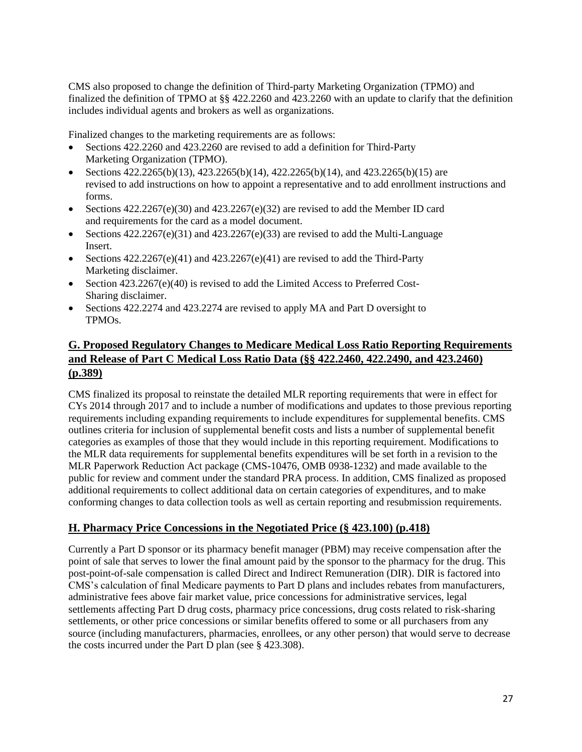CMS also proposed to change the definition of Third-party Marketing Organization (TPMO) and finalized the definition of TPMO at §§ 422.2260 and 423.2260 with an update to clarify that the definition includes individual agents and brokers as well as organizations.

Finalized changes to the marketing requirements are as follows:

- Sections 422.2260 and 423.2260 are revised to add a definition for Third-Party Marketing Organization (TPMO).
- Sections  $422.2265(b)(13)$ ,  $423.2265(b)(14)$ ,  $422.2265(b)(14)$ , and  $423.2265(b)(15)$  are revised to add instructions on how to appoint a representative and to add enrollment instructions and forms.
- Sections  $422.2267(e)(30)$  and  $423.2267(e)(32)$  are revised to add the Member ID card and requirements for the card as a model document.
- Sections  $422.2267(e)(31)$  and  $423.2267(e)(33)$  are revised to add the Multi-Language Insert.
- Sections  $422.2267(e)(41)$  and  $423.2267(e)(41)$  are revised to add the Third-Party Marketing disclaimer.
- Section 423.2267(e)(40) is revised to add the Limited Access to Preferred Cost-Sharing disclaimer.
- Sections 422.2274 and 423.2274 are revised to apply MA and Part D oversight to TPMOs.

# **G. Proposed Regulatory Changes to Medicare Medical Loss Ratio Reporting Requirements and Release of Part C Medical Loss Ratio Data (§§ 422.2460, 422.2490, and 423.2460) (p.389)**

CMS finalized its proposal to reinstate the detailed MLR reporting requirements that were in effect for CYs 2014 through 2017 and to include a number of modifications and updates to those previous reporting requirements including expanding requirements to include expenditures for supplemental benefits. CMS outlines criteria for inclusion of supplemental benefit costs and lists a number of supplemental benefit categories as examples of those that they would include in this reporting requirement. Modifications to the MLR data requirements for supplemental benefits expenditures will be set forth in a revision to the MLR Paperwork Reduction Act package (CMS-10476, OMB 0938-1232) and made available to the public for review and comment under the standard PRA process. In addition, CMS finalized as proposed additional requirements to collect additional data on certain categories of expenditures, and to make conforming changes to data collection tools as well as certain reporting and resubmission requirements.

# **H. Pharmacy Price Concessions in the Negotiated Price (§ 423.100) (p.418)**

Currently a Part D sponsor or its pharmacy benefit manager (PBM) may receive compensation after the point of sale that serves to lower the final amount paid by the sponsor to the pharmacy for the drug. This post-point-of-sale compensation is called Direct and Indirect Remuneration (DIR). DIR is factored into CMS's calculation of final Medicare payments to Part D plans and includes rebates from manufacturers, administrative fees above fair market value, price concessions for administrative services, legal settlements affecting Part D drug costs, pharmacy price concessions, drug costs related to risk-sharing settlements, or other price concessions or similar benefits offered to some or all purchasers from any source (including manufacturers, pharmacies, enrollees, or any other person) that would serve to decrease the costs incurred under the Part D plan (see § 423.308).